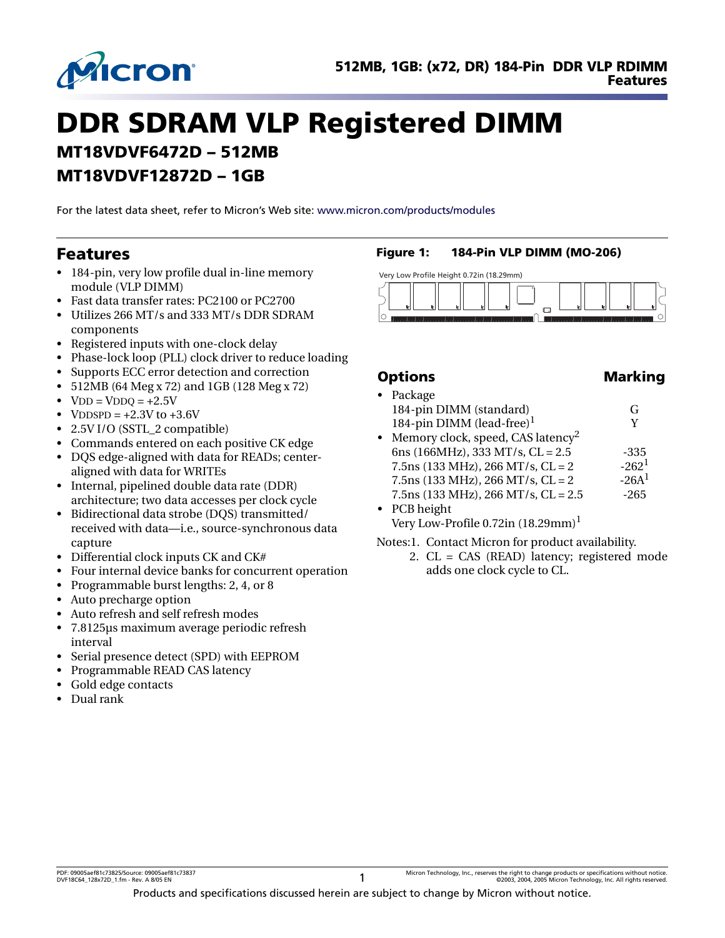

# **DDR SDRAM VLP Registered DIMM MT18VDVF6472D – 512MB MT18VDVF12872D – 1GB**

For the latest data sheet, refer to Micron's Web site: [www.micron.com/products/modules](http://www.micron.com/products/modules)

### <span id="page-0-0"></span>**Features**

- 184-pin, very low profile dual in-line memory module (VLP DIMM)
- Fast data transfer rates: PC2100 or PC2700
- Utilizes 266 MT/s and 333 MT/s DDR SDRAM components
- Registered inputs with one-clock delay
- Phase-lock loop (PLL) clock driver to reduce loading
- Supports ECC error detection and correction
- 512MB (64 Meg x 72) and 1GB (128 Meg x 72)
- $VDD = VDDQ = +2.5V$
- VDDSPD =  $+2.3V$  to  $+3.6V$
- 2.5V I/O (SSTL\_2 compatible)
- Commands entered on each positive CK edge
- DQS edge-aligned with data for READs; centeraligned with data for WRITEs
- Internal, pipelined double data rate (DDR) architecture; two data accesses per clock cycle
- Bidirectional data strobe (DQS) transmitted/ received with data—i.e., source-synchronous data capture
- Differential clock inputs CK and CK#
- Four internal device banks for concurrent operation
- Programmable burst lengths: 2, 4, or 8
- Auto precharge option
- Auto refresh and self refresh modes
- 7.8125µs maximum average periodic refresh interval
- Serial presence detect (SPD) with EEPROM
- Programmable READ CAS latency
- Gold edge contacts
- Dual rank

### <span id="page-0-1"></span>**Figure 1: 184-Pin VLP DIMM (MO-206)**



### **Options** Marking

|           | • Package                                     |          |
|-----------|-----------------------------------------------|----------|
|           | 184-pin DIMM (standard)                       | G        |
|           | 184-pin DIMM (lead-free) $1$                  | V        |
| $\bullet$ | Memory clock, speed, CAS latency <sup>2</sup> |          |
|           | 6ns (166MHz), 333 MT/s, $CL = 2.5$            | -335     |
|           | $7.5$ ns (133 MHz), 266 MT/s, CL = 2          | $-262^1$ |
|           | $7.5$ ns (133 MHz), 266 MT/s, CL = 2          | $-26A^1$ |
|           | $7.5$ ns (133 MHz), 266 MT/s, CL = 2.5        | $-265$   |
|           | $n \cap n$ 1 $\cdot$ 1 $\cdot$                |          |

• PCB height Very Low-Profile  $0.72$ in  $(18.29$ mm $)^1$ 

Notes:1. Contact Micron for product availability.

2. CL = CAS (READ) latency; registered mode adds one clock cycle to CL.

PDF: 09005aef81c73825/Source: 09005aef81c73837 Micron Technology, Inc., reserves the right to change products or specifications without notice. DVF18C64\_128x72D\_1.fm - Rev. A 8/05 EN 1 ©2003, 2004, 2005 Micron Technology, Inc. All rights reserved.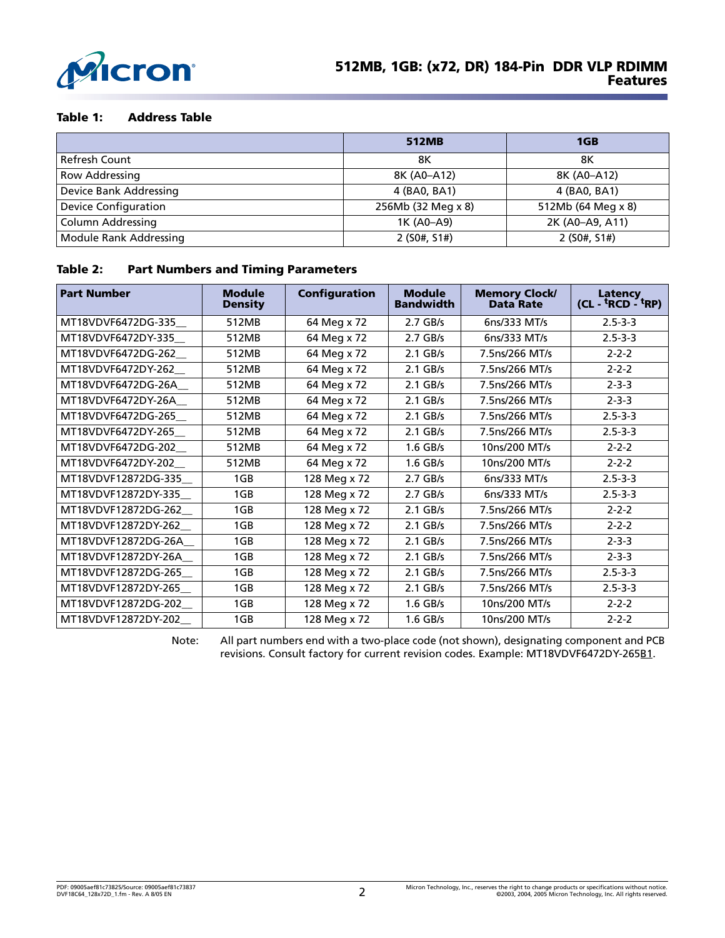

#### <span id="page-1-0"></span>**Table 1: Address Table**

|                               | 512MB              | 1GB                |
|-------------------------------|--------------------|--------------------|
| Refresh Count                 | 8Κ                 | 8Κ                 |
| Row Addressing                | 8K (A0-A12)        | 8K (A0-A12)        |
| Device Bank Addressing        | 4 (BA0, BA1)       | 4 (BA0, BA1)       |
| <b>Device Configuration</b>   | 256Mb (32 Meg x 8) | 512Mb (64 Meg x 8) |
| <b>Column Addressing</b>      | 1K (A0-A9)         | 2K (A0-A9, A11)    |
| <b>Module Rank Addressing</b> | 2(50#, 51#)        | 2(50#, 51#)        |

#### <span id="page-1-1"></span>**Table 2: Part Numbers and Timing Parameters**

| <b>Part Number</b>   | <b>Module</b><br><b>Density</b> | <b>Configuration</b> | <b>Module</b><br><b>Bandwidth</b> | <b>Memory Clock/</b><br><b>Data Rate</b> | Latency<br>(CL - <sup>t</sup> RCD - <sup>t</sup> RP) |
|----------------------|---------------------------------|----------------------|-----------------------------------|------------------------------------------|------------------------------------------------------|
| MT18VDVF6472DG-335   | 512MB                           | 64 Meg x 72          | $2.7$ GB/s                        | 6ns/333 MT/s                             | $2.5 - 3 - 3$                                        |
| MT18VDVF6472DY-335   | 512MB                           | 64 Meg x 72          | $2.7$ GB/s                        | 6ns/333 MT/s                             | $2.5 - 3 - 3$                                        |
| MT18VDVF6472DG-262   | 512MB                           | 64 Meg x 72          | $2.1$ GB/s                        | 7.5ns/266 MT/s                           | $2 - 2 - 2$                                          |
| MT18VDVF6472DY-262   | 512MB                           | 64 Meg x 72          | $2.1$ GB/s                        | 7.5ns/266 MT/s                           | $2 - 2 - 2$                                          |
| MT18VDVF6472DG-26A   | 512MB                           | 64 Meg x 72          | $2.1$ GB/s                        | 7.5ns/266 MT/s                           | $2 - 3 - 3$                                          |
| MT18VDVF6472DY-26A   | 512MB                           | 64 Meg x 72          | $2.1$ GB/s                        | 7.5ns/266 MT/s                           | $2 - 3 - 3$                                          |
| MT18VDVF6472DG-265   | 512MB                           | 64 Meg x 72          | $2.1$ GB/s                        | 7.5ns/266 MT/s                           | $2.5 - 3 - 3$                                        |
| MT18VDVF6472DY-265   | 512MB                           | 64 Meg x 72          | $2.1$ GB/s                        | 7.5ns/266 MT/s                           | $2.5 - 3 - 3$                                        |
| MT18VDVF6472DG-202   | 512MB                           | 64 Meg x 72          | $1.6$ GB/s                        | 10ns/200 MT/s                            | $2 - 2 - 2$                                          |
| MT18VDVF6472DY-202   | 512MB                           | 64 Meg x 72          | $1.6$ GB/s                        | 10ns/200 MT/s                            | $2 - 2 - 2$                                          |
| MT18VDVF12872DG-335  | 1GB                             | 128 Meg x 72         | $2.7$ GB/s                        | 6ns/333 MT/s                             | $2.5 - 3 - 3$                                        |
| MT18VDVF12872DY-335  | 1GB                             | 128 Meg x 72         | $2.7$ GB/s                        | 6ns/333 MT/s                             | $2.5 - 3 - 3$                                        |
| MT18VDVF12872DG-262  | 1GB                             | 128 Meg x 72         | $2.1$ GB/s                        | 7.5ns/266 MT/s                           | $2 - 2 - 2$                                          |
| MT18VDVF12872DY-262  | 1GB                             | 128 Meg x 72         | $2.1$ GB/s                        | 7.5ns/266 MT/s                           | $2 - 2 - 2$                                          |
| MT18VDVF12872DG-26A  | 1GB                             | 128 Meg x 72         | $2.1$ GB/s                        | 7.5ns/266 MT/s                           | $2 - 3 - 3$                                          |
| MT18VDVF12872DY-26A_ | 1GB                             | 128 Meg x 72         | $2.1$ GB/s                        | 7.5ns/266 MT/s                           | $2 - 3 - 3$                                          |
| MT18VDVF12872DG-265  | 1GB                             | 128 Meg x 72         | $2.1$ GB/s                        | 7.5ns/266 MT/s                           | $2.5 - 3 - 3$                                        |
| MT18VDVF12872DY-265  | 1GB                             | 128 Meg x 72         | $2.1$ GB/s                        | 7.5ns/266 MT/s                           | $2.5 - 3 - 3$                                        |
| MT18VDVF12872DG-202  | 1GB                             | 128 Meg x 72         | 1.6 GB/s                          | 10ns/200 MT/s                            | $2 - 2 - 2$                                          |
| MT18VDVF12872DY-202  | 1GB                             | 128 Meg x 72         | $1.6$ GB/s                        | 10ns/200 MT/s                            | $2 - 2 - 2$                                          |

Note: All part numbers end with a two-place code (not shown), designating component and PCB revisions. Consult factory for current revision codes. Example: MT18VDVF6472DY-265B1.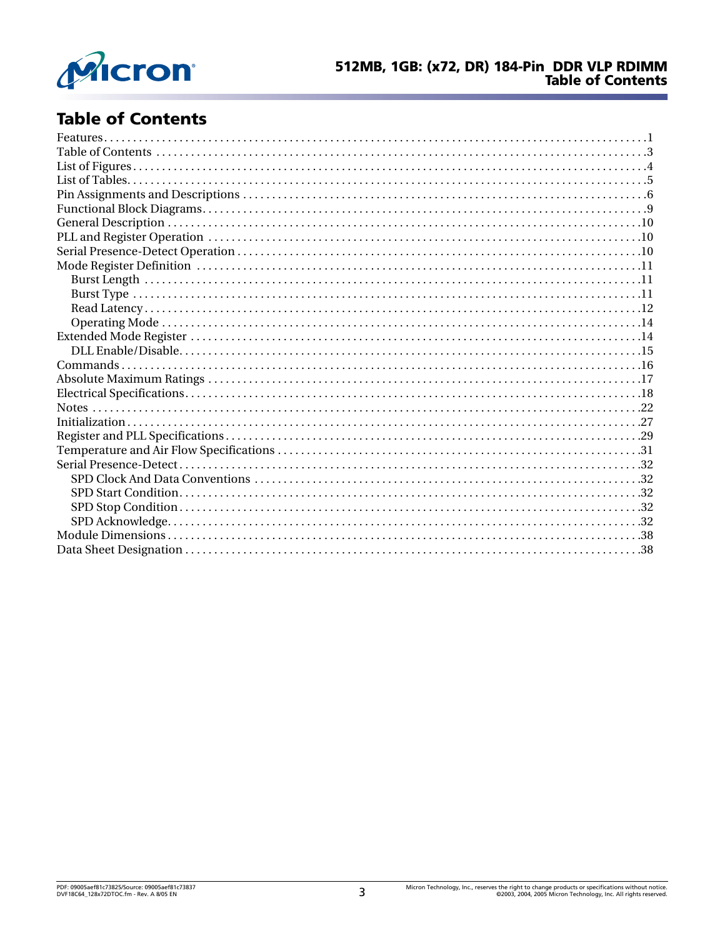

# <span id="page-2-0"></span>**Table of Contents**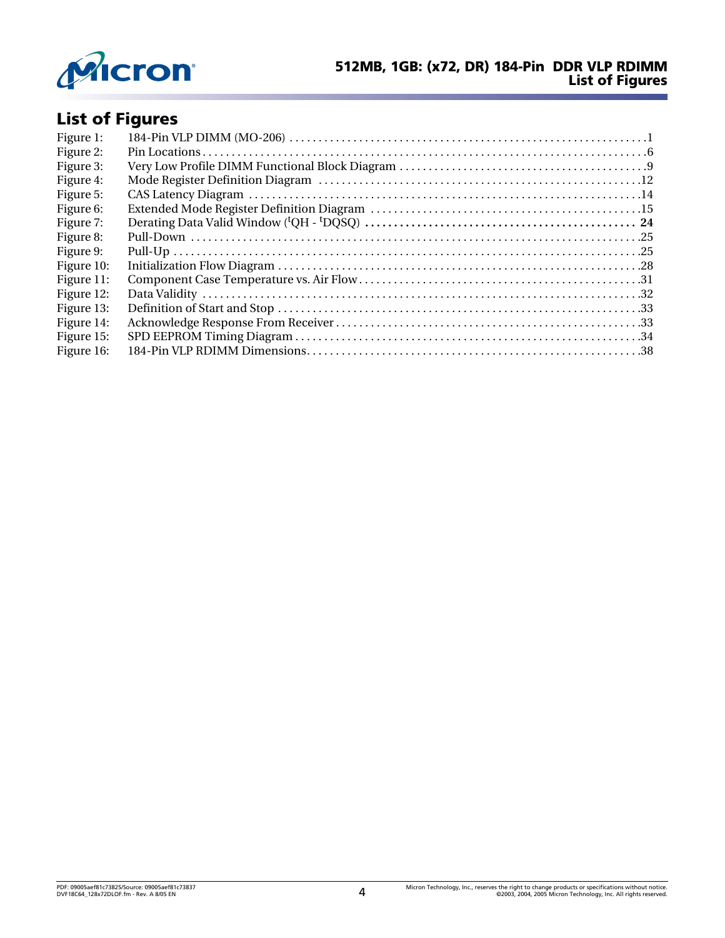

# <span id="page-3-0"></span>**List of Figures**

| Figure 1:  |  |
|------------|--|
| Figure 2:  |  |
| Figure 3:  |  |
| Figure 4:  |  |
| Figure 5:  |  |
| Figure 6:  |  |
| Figure 7:  |  |
| Figure 8:  |  |
| Figure 9:  |  |
| Figure 10: |  |
| Figure 11: |  |
| Figure 12: |  |
| Figure 13: |  |
| Figure 14: |  |
| Figure 15: |  |
| Figure 16: |  |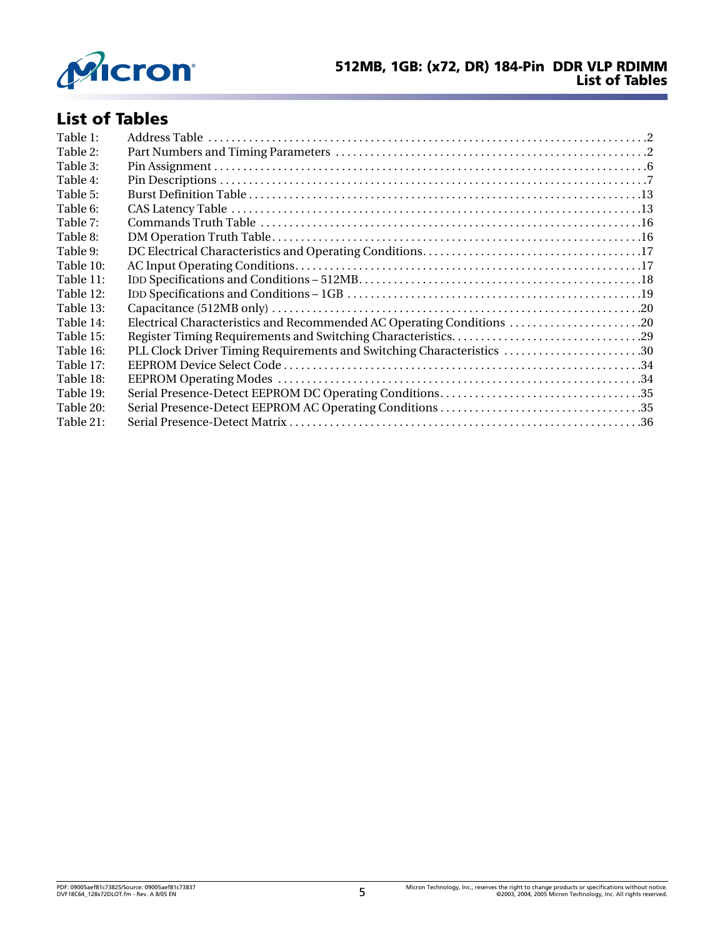

# <span id="page-4-0"></span>**List of Tables**

| Table 1:  |                                                                       |  |
|-----------|-----------------------------------------------------------------------|--|
| Table 2:  |                                                                       |  |
| Table 3:  |                                                                       |  |
| Table 4:  |                                                                       |  |
| Table 5:  |                                                                       |  |
| Table 6:  |                                                                       |  |
| Table 7:  |                                                                       |  |
| Table 8:  |                                                                       |  |
| Table 9:  |                                                                       |  |
| Table 10: |                                                                       |  |
| Table 11: |                                                                       |  |
| Table 12: |                                                                       |  |
| Table 13: |                                                                       |  |
| Table 14: | Electrical Characteristics and Recommended AC Operating Conditions 20 |  |
| Table 15: |                                                                       |  |
| Table 16: | PLL Clock Driver Timing Requirements and Switching Characteristics 30 |  |
| Table 17: |                                                                       |  |
| Table 18: |                                                                       |  |
| Table 19: |                                                                       |  |
| Table 20: |                                                                       |  |
| Table 21: |                                                                       |  |
|           |                                                                       |  |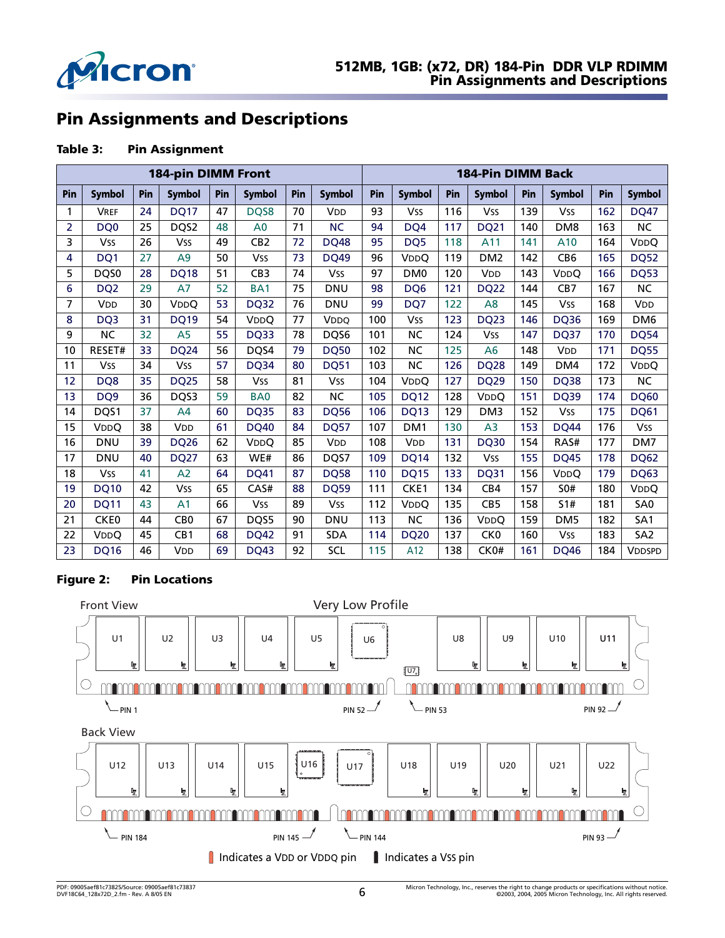

# <span id="page-5-0"></span>**Pin Assignments and Descriptions**

#### <span id="page-5-2"></span>**Table 3: Pin Assignment**

|                |                       | <b>184-pin DIMM Front</b> |                        |     |                 |     |                       | <b>184-Pin DIMM Back</b> |                        |     |                       |     |                       |     |                        |
|----------------|-----------------------|---------------------------|------------------------|-----|-----------------|-----|-----------------------|--------------------------|------------------------|-----|-----------------------|-----|-----------------------|-----|------------------------|
| Pin            | <b>Symbol</b>         | Pin                       | Symbol                 | Pin | <b>Symbol</b>   | Pin | <b>Symbol</b>         | Pin                      | <b>Symbol</b>          | Pin | <b>Symbol</b>         | Pin | <b>Symbol</b>         | Pin | <b>Symbol</b>          |
| 1              | <b>VREF</b>           | 24                        | <b>DQ17</b>            | 47  | DQS8            | 70  | <b>V<sub>DD</sub></b> | 93                       | <b>Vss</b>             | 116 | <b>Vss</b>            | 139 | <b>Vss</b>            | 162 | <b>DQ47</b>            |
| $\overline{2}$ | DO <sub>0</sub>       | 25                        | DQS2                   | 48  | A <sub>0</sub>  | 71  | <b>NC</b>             | 94                       | DQ4                    | 117 | <b>DQ21</b>           | 140 | DM <sub>8</sub>       | 163 | <b>NC</b>              |
| 3              | Vss                   | 26                        | <b>Vss</b>             | 49  | CB2             | 72  | <b>DQ48</b>           | 95                       | DQ5                    | 118 | A11                   | 141 | A10                   | 164 | <b>VDDO</b>            |
| 4              | DQ1                   | 27                        | A <sub>9</sub>         | 50  | <b>Vss</b>      | 73  | <b>DO49</b>           | 96                       | <b>V<sub>DD</sub>O</b> | 119 | DM <sub>2</sub>       | 142 | CB <sub>6</sub>       | 165 | <b>DQ52</b>            |
| 5              | DQS0                  | 28                        | <b>DQ18</b>            | 51  | CB <sub>3</sub> | 74  | <b>Vss</b>            | 97                       | DM <sub>0</sub>        | 120 | <b>V<sub>DD</sub></b> | 143 | <b>VDDO</b>           | 166 | <b>DQ53</b>            |
| 6              | DQ <sub>2</sub>       | 29                        | A7                     | 52  | BA <sub>1</sub> | 75  | <b>DNU</b>            | 98                       | DQ6                    | 121 | <b>DQ22</b>           | 144 | CB7                   | 167 | <b>NC</b>              |
| 7              | <b>V<sub>DD</sub></b> | 30                        | <b>V<sub>DD</sub>O</b> | 53  | <b>DQ32</b>     | 76  | <b>DNU</b>            | 99                       | DQ7                    | 122 | A8                    | 145 | Vss                   | 168 | V <sub>DD</sub>        |
| 8              | DQ3                   | 31                        | <b>DQ19</b>            | 54  | <b>VDDO</b>     | 77  | <b>VDDO</b>           | 100                      | <b>Vss</b>             | 123 | <b>DQ23</b>           | 146 | <b>DQ36</b>           | 169 | DM <sub>6</sub>        |
| 9              | <b>NC</b>             | 32                        | A <sub>5</sub>         | 55  | <b>DQ33</b>     | 78  | DQS6                  | 101                      | <b>NC</b>              | 124 | <b>Vss</b>            | 147 | <b>DQ37</b>           | 170 | <b>DQ54</b>            |
| 10             | RESET#                | 33                        | <b>DQ24</b>            | 56  | DQS4            | 79  | <b>DQ50</b>           | 102                      | <b>NC</b>              | 125 | A6                    | 148 | <b>V<sub>DD</sub></b> | 171 | <b>DQ55</b>            |
| 11             | Vss                   | 34                        | <b>Vss</b>             | 57  | <b>DQ34</b>     | 80  | <b>DQ51</b>           | 103                      | <b>NC</b>              | 126 | <b>DQ28</b>           | 149 | DM4                   | 172 | <b>V<sub>DD</sub>O</b> |
| 12             | DQ8                   | 35                        | <b>DQ25</b>            | 58  | <b>Vss</b>      | 81  | <b>Vss</b>            | 104                      | <b>VDDO</b>            | 127 | <b>DQ29</b>           | 150 | <b>DQ38</b>           | 173 | <b>NC</b>              |
| 13             | DQ <sub>9</sub>       | 36                        | DQS3                   | 59  | BA <sub>0</sub> | 82  | <b>NC</b>             | 105                      | <b>DQ12</b>            | 128 | VDDQ                  | 151 | <b>DQ39</b>           | 174 | <b>DQ60</b>            |
| 14             | DQS1                  | 37                        | A <sub>4</sub>         | 60  | <b>DQ35</b>     | 83  | <b>DQ56</b>           | 106                      | <b>DQ13</b>            | 129 | DM <sub>3</sub>       | 152 | <b>Vss</b>            | 175 | <b>DQ61</b>            |
| 15             | <b>VDDO</b>           | 38                        | V <sub>DD</sub>        | 61  | <b>DQ40</b>     | 84  | <b>DO57</b>           | 107                      | DM <sub>1</sub>        | 130 | A <sub>3</sub>        | 153 | <b>DO44</b>           | 176 | <b>Vss</b>             |
| 16             | <b>DNU</b>            | 39                        | <b>DQ26</b>            | 62  | VDDQ            | 85  | <b>V<sub>DD</sub></b> | 108                      | <b>V<sub>DD</sub></b>  | 131 | <b>DQ30</b>           | 154 | RAS#                  | 177 | DM7                    |
| 17             | <b>DNU</b>            | 40                        | <b>DQ27</b>            | 63  | WE#             | 86  | DQS7                  | 109                      | <b>DQ14</b>            | 132 | <b>Vss</b>            | 155 | <b>DQ45</b>           | 178 | <b>DQ62</b>            |
| 18             | Vss                   | 41                        | A <sub>2</sub>         | 64  | <b>DQ41</b>     | 87  | <b>DQ58</b>           | 110                      | <b>DQ15</b>            | 133 | <b>DQ31</b>           | 156 | <b>VDDO</b>           | 179 | <b>DQ63</b>            |
| 19             | <b>DQ10</b>           | 42                        | <b>Vss</b>             | 65  | CAS#            | 88  | <b>DQ59</b>           | 111                      | CKE1                   | 134 | CB4                   | 157 | <b>SO#</b>            | 180 | <b>VDDQ</b>            |
| 20             | <b>DQ11</b>           | 43                        | A <sub>1</sub>         | 66  | <b>Vss</b>      | 89  | <b>Vss</b>            | 112                      | <b>VDDO</b>            | 135 | CB <sub>5</sub>       | 158 | 51#                   | 181 | SA <sub>0</sub>        |
| 21             | CKE <sub>0</sub>      | 44                        | CB <sub>0</sub>        | 67  | DQS5            | 90  | <b>DNU</b>            | 113                      | <b>NC</b>              | 136 | <b>VDDO</b>           | 159 | DM <sub>5</sub>       | 182 | SA <sub>1</sub>        |
| 22             | <b>VDDO</b>           | 45                        | CB1                    | 68  | <b>DQ42</b>     | 91  | <b>SDA</b>            | 114                      | <b>DQ20</b>            | 137 | CK <sub>0</sub>       | 160 | <b>Vss</b>            | 183 | SA <sub>2</sub>        |
| 23             | <b>DQ16</b>           | 46                        | V <sub>DD</sub>        | 69  | <b>DQ43</b>     | 92  | SCL                   | 115                      | A12                    | 138 | CK0#                  | 161 | <b>DQ46</b>           | 184 | <b>VDDSPD</b>          |

#### <span id="page-5-1"></span>**Figure 2: Pin Locations**

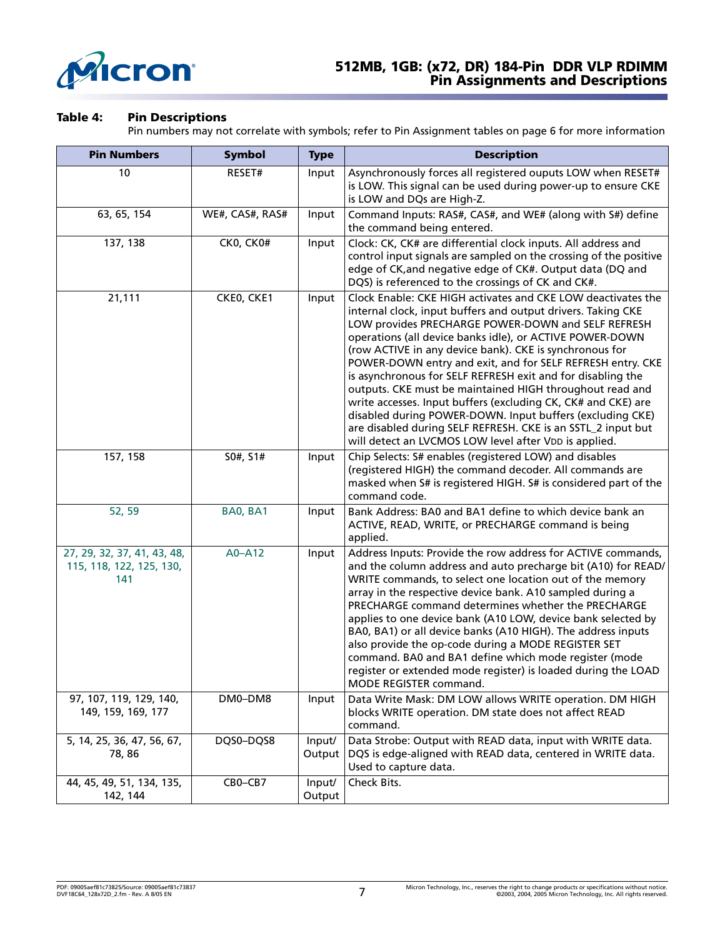

### **512MB, 1GB: (x72, DR) 184-Pin DDR VLP RDIMM Pin Assignments and Descriptions**

#### <span id="page-6-0"></span>**Table 4: Pin Descriptions**

Pin numbers may not correlate with symbols; refer to Pin Assignment tables on [page 6](#page-5-2) for more information

| <b>Pin Numbers</b>                                             | <b>Symbol</b>   | <b>Type</b>      | <b>Description</b>                                                                                                                                                                                                                                                                                                                                                                                                                                                                                                                                                                                                                                                                                                                                        |  |  |
|----------------------------------------------------------------|-----------------|------------------|-----------------------------------------------------------------------------------------------------------------------------------------------------------------------------------------------------------------------------------------------------------------------------------------------------------------------------------------------------------------------------------------------------------------------------------------------------------------------------------------------------------------------------------------------------------------------------------------------------------------------------------------------------------------------------------------------------------------------------------------------------------|--|--|
| 10                                                             | RESET#          | Input            | Asynchronously forces all registered ouputs LOW when RESET#<br>is LOW. This signal can be used during power-up to ensure CKE<br>is LOW and DQs are High-Z.                                                                                                                                                                                                                                                                                                                                                                                                                                                                                                                                                                                                |  |  |
| 63, 65, 154                                                    | WE#, CAS#, RAS# | Input            | Command Inputs: RAS#, CAS#, and WE# (along with S#) define<br>the command being entered.                                                                                                                                                                                                                                                                                                                                                                                                                                                                                                                                                                                                                                                                  |  |  |
| 137, 138                                                       | CK0, CK0#       | Input            | Clock: CK, CK# are differential clock inputs. All address and<br>control input signals are sampled on the crossing of the positive<br>edge of CK, and negative edge of CK#. Output data (DQ and<br>DQS) is referenced to the crossings of CK and CK#.                                                                                                                                                                                                                                                                                                                                                                                                                                                                                                     |  |  |
| 21,111                                                         | CKEO, CKE1      | Input            | Clock Enable: CKE HIGH activates and CKE LOW deactivates the<br>internal clock, input buffers and output drivers. Taking CKE<br>LOW provides PRECHARGE POWER-DOWN and SELF REFRESH<br>operations (all device banks idle), or ACTIVE POWER-DOWN<br>(row ACTIVE in any device bank). CKE is synchronous for<br>POWER-DOWN entry and exit, and for SELF REFRESH entry. CKE<br>is asynchronous for SELF REFRESH exit and for disabling the<br>outputs. CKE must be maintained HIGH throughout read and<br>write accesses. Input buffers (excluding CK, CK# and CKE) are<br>disabled during POWER-DOWN. Input buffers (excluding CKE)<br>are disabled during SELF REFRESH. CKE is an SSTL_2 input but<br>will detect an LVCMOS LOW level after VDD is applied. |  |  |
| 157, 158                                                       | S0#, S1#        | Input            | Chip Selects: S# enables (registered LOW) and disables<br>(registered HIGH) the command decoder. All commands are<br>masked when S# is registered HIGH. S# is considered part of the<br>command code.                                                                                                                                                                                                                                                                                                                                                                                                                                                                                                                                                     |  |  |
| 52, 59                                                         | BA0, BA1        | Input            | Bank Address: BA0 and BA1 define to which device bank an<br>ACTIVE, READ, WRITE, or PRECHARGE command is being<br>applied.                                                                                                                                                                                                                                                                                                                                                                                                                                                                                                                                                                                                                                |  |  |
| 27, 29, 32, 37, 41, 43, 48,<br>115, 118, 122, 125, 130,<br>141 | A0-A12          | Input            | Address Inputs: Provide the row address for ACTIVE commands,<br>and the column address and auto precharge bit (A10) for READ/<br>WRITE commands, to select one location out of the memory<br>array in the respective device bank. A10 sampled during a<br>PRECHARGE command determines whether the PRECHARGE<br>applies to one device bank (A10 LOW, device bank selected by<br>BA0, BA1) or all device banks (A10 HIGH). The address inputs<br>also provide the op-code during a MODE REGISTER SET<br>command. BA0 and BA1 define which mode register (mode<br>register or extended mode register) is loaded during the LOAD<br>MODE REGISTER command.                                                                                                   |  |  |
| 97, 107, 119, 129, 140,<br>149, 159, 169, 177                  | DM0-DM8         | Input            | Data Write Mask: DM LOW allows WRITE operation. DM HIGH<br>blocks WRITE operation. DM state does not affect READ<br>command.                                                                                                                                                                                                                                                                                                                                                                                                                                                                                                                                                                                                                              |  |  |
| 5, 14, 25, 36, 47, 56, 67,<br>78, 86                           | DQS0-DQS8       | Input/<br>Output | Data Strobe: Output with READ data, input with WRITE data.<br>DQS is edge-aligned with READ data, centered in WRITE data.<br>Used to capture data.                                                                                                                                                                                                                                                                                                                                                                                                                                                                                                                                                                                                        |  |  |
| 44, 45, 49, 51, 134, 135,<br>142, 144                          | CBO-CB7         | Input/<br>Output | Check Bits.                                                                                                                                                                                                                                                                                                                                                                                                                                                                                                                                                                                                                                                                                                                                               |  |  |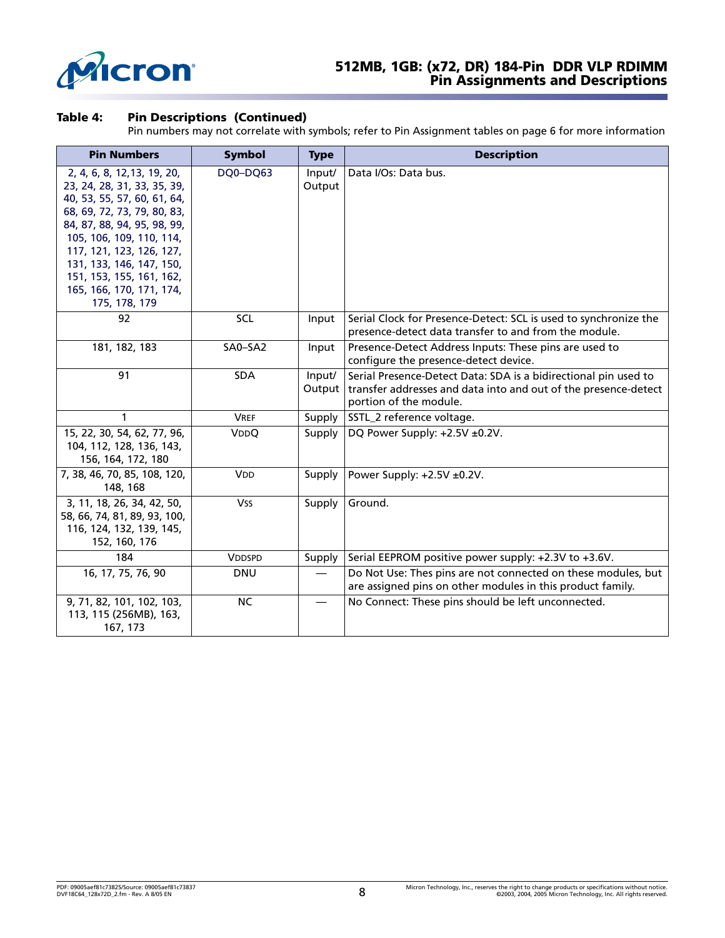

### **512MB, 1GB: (x72, DR) 184-Pin DDR VLP RDIMM Pin Assignments and Descriptions**

#### **Table 4: Pin Descriptions (Continued)**

Pin numbers may not correlate with symbols; refer to Pin Assignment tables on page 6 for more information

| <b>Pin Numbers</b>                                                                                                                                                                                                                                                                                                   | <b>Symbol</b>         | <b>Type</b>                    | <b>Description</b>                                                                                                                                           |
|----------------------------------------------------------------------------------------------------------------------------------------------------------------------------------------------------------------------------------------------------------------------------------------------------------------------|-----------------------|--------------------------------|--------------------------------------------------------------------------------------------------------------------------------------------------------------|
| 2, 4, 6, 8, 12, 13, 19, 20,<br>23, 24, 28, 31, 33, 35, 39,<br>40, 53, 55, 57, 60, 61, 64,<br>68, 69, 72, 73, 79, 80, 83,<br>84, 87, 88, 94, 95, 98, 99,<br>105, 106, 109, 110, 114,<br>117, 121, 123, 126, 127,<br>131, 133, 146, 147, 150,<br>151, 153, 155, 161, 162,<br>165, 166, 170, 171, 174,<br>175, 178, 179 | DQ0-DQ63              | Input/<br>Output               | Data I/Os: Data bus.                                                                                                                                         |
| 92                                                                                                                                                                                                                                                                                                                   | SCL                   | Input                          | Serial Clock for Presence-Detect: SCL is used to synchronize the<br>presence-detect data transfer to and from the module.                                    |
| 181, 182, 183                                                                                                                                                                                                                                                                                                        | SA0-SA2               | Input                          | Presence-Detect Address Inputs: These pins are used to<br>configure the presence-detect device.                                                              |
| 91                                                                                                                                                                                                                                                                                                                   | SDA                   | Input/<br>Output               | Serial Presence-Detect Data: SDA is a bidirectional pin used to<br>transfer addresses and data into and out of the presence-detect<br>portion of the module. |
| 1                                                                                                                                                                                                                                                                                                                    | <b>VREF</b>           | Supply                         | SSTL_2 reference voltage.                                                                                                                                    |
| 15, 22, 30, 54, 62, 77, 96,<br>104, 112, 128, 136, 143,<br>156, 164, 172, 180                                                                                                                                                                                                                                        | <b>VDDQ</b>           | Supply                         | DQ Power Supply: +2.5V ±0.2V.                                                                                                                                |
| 7, 38, 46, 70, 85, 108, 120,<br>148, 168                                                                                                                                                                                                                                                                             | <b>V<sub>DD</sub></b> | Supply                         | Power Supply: +2.5V ±0.2V.                                                                                                                                   |
| 3, 11, 18, 26, 34, 42, 50,<br>58, 66, 74, 81, 89, 93, 100,<br>116, 124, 132, 139, 145,<br>152, 160, 176                                                                                                                                                                                                              | <b>Vss</b>            | Supply                         | Ground.                                                                                                                                                      |
| 184                                                                                                                                                                                                                                                                                                                  | <b>VDDSPD</b>         | Supply                         | Serial EEPROM positive power supply: +2.3V to +3.6V.                                                                                                         |
| 16, 17, 75, 76, 90                                                                                                                                                                                                                                                                                                   | <b>DNU</b>            | $\overbrace{\phantom{123321}}$ | Do Not Use: Thes pins are not connected on these modules, but<br>are assigned pins on other modules in this product family.                                  |
| 9, 71, 82, 101, 102, 103,<br>113, 115 (256MB), 163,<br>167, 173                                                                                                                                                                                                                                                      | NC.                   |                                | No Connect: These pins should be left unconnected.                                                                                                           |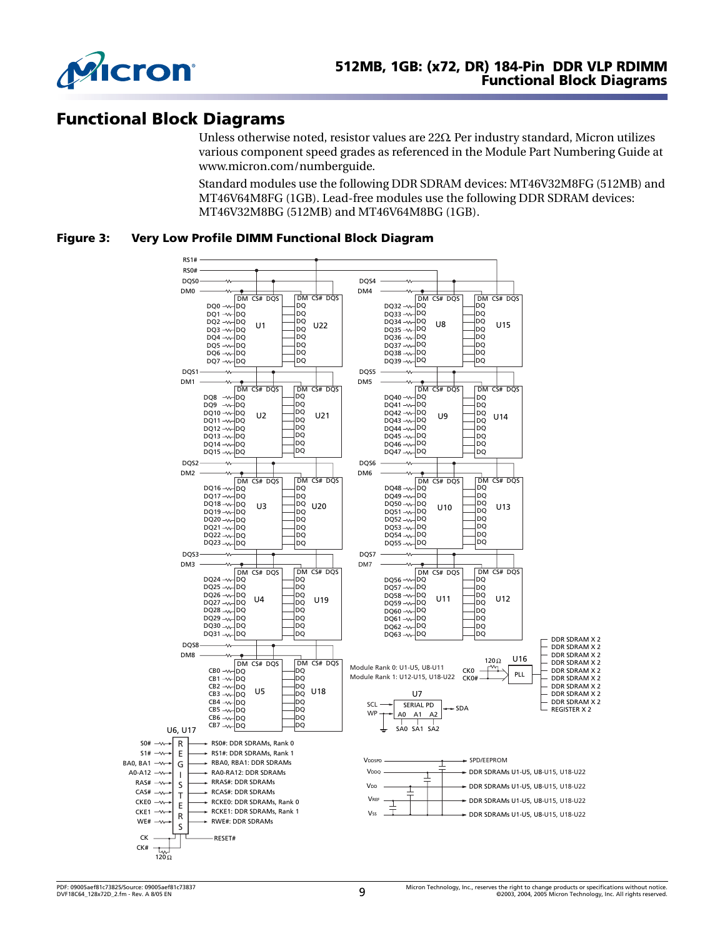

# <span id="page-8-0"></span>**Functional Block Diagrams**

Unless otherwise noted, resistor values are 22Ω. Per industry standard, Micron utilizes various component speed grades as referenced in the Module Part Numbering Guide at www.micron.com/numberguide.

Standard modules use the following DDR SDRAM devices: MT46V32M8FG (512MB) and MT46V64M8FG (1GB). Lead-free modules use the following DDR SDRAM devices: MT46V32M8BG (512MB) and MT46V64M8BG (1GB).

<span id="page-8-1"></span>**Figure 3: Very Low Profile DIMM Functional Block Diagram**

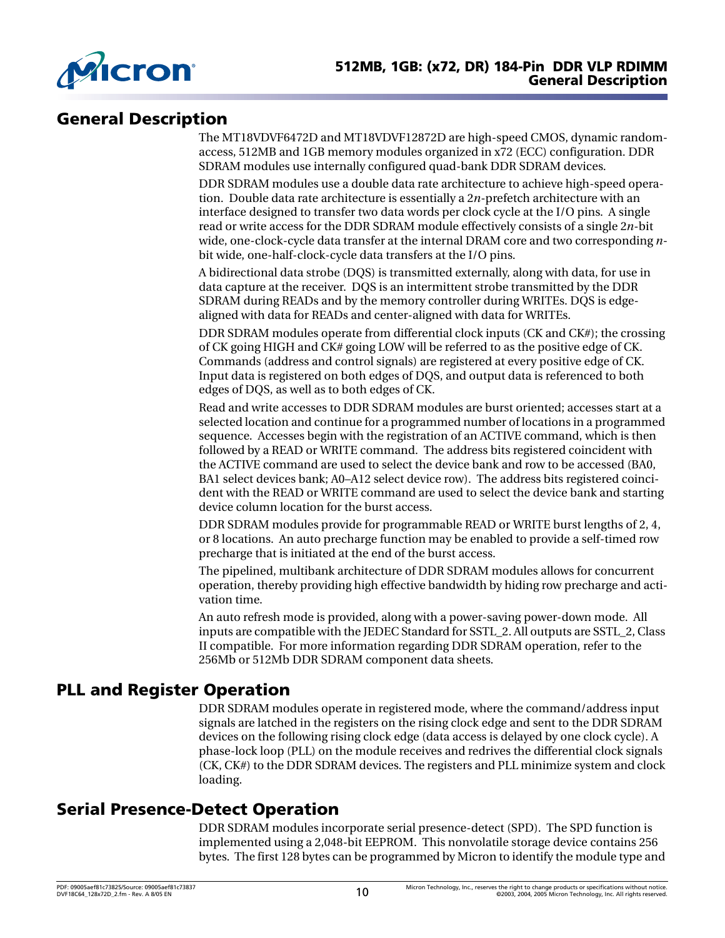

# <span id="page-9-0"></span>**General Description**

The MT18VDVF6472D and MT18VDVF12872D are high-speed CMOS, dynamic randomaccess, 512MB and 1GB memory modules organized in x72 (ECC) configuration. DDR SDRAM modules use internally configured quad-bank DDR SDRAM devices.

DDR SDRAM modules use a double data rate architecture to achieve high-speed operation. Double data rate architecture is essentially a 2*n*-prefetch architecture with an interface designed to transfer two data words per clock cycle at the I/O pins. A single read or write access for the DDR SDRAM module effectively consists of a single 2*n*-bit wide, one-clock-cycle data transfer at the internal DRAM core and two corresponding *n*bit wide, one-half-clock-cycle data transfers at the I/O pins.

A bidirectional data strobe (DQS) is transmitted externally, along with data, for use in data capture at the receiver. DQS is an intermittent strobe transmitted by the DDR SDRAM during READs and by the memory controller during WRITEs. DQS is edgealigned with data for READs and center-aligned with data for WRITEs.

DDR SDRAM modules operate from differential clock inputs (CK and CK#); the crossing of CK going HIGH and CK# going LOW will be referred to as the positive edge of CK. Commands (address and control signals) are registered at every positive edge of CK. Input data is registered on both edges of DQS, and output data is referenced to both edges of DQS, as well as to both edges of CK.

Read and write accesses to DDR SDRAM modules are burst oriented; accesses start at a selected location and continue for a programmed number of locations in a programmed sequence. Accesses begin with the registration of an ACTIVE command, which is then followed by a READ or WRITE command. The address bits registered coincident with the ACTIVE command are used to select the device bank and row to be accessed (BA0, BA1 select devices bank; A0–A12 select device row). The address bits registered coincident with the READ or WRITE command are used to select the device bank and starting device column location for the burst access.

DDR SDRAM modules provide for programmable READ or WRITE burst lengths of 2, 4, or 8 locations. An auto precharge function may be enabled to provide a self-timed row precharge that is initiated at the end of the burst access.

The pipelined, multibank architecture of DDR SDRAM modules allows for concurrent operation, thereby providing high effective bandwidth by hiding row precharge and activation time.

An auto refresh mode is provided, along with a power-saving power-down mode. All inputs are compatible with the JEDEC Standard for SSTL\_2. All outputs are SSTL\_2, Class II compatible. For more information regarding DDR SDRAM operation, refer to the 256Mb or 512Mb DDR SDRAM component data sheets.

## <span id="page-9-1"></span>**PLL and Register Operation**

DDR SDRAM modules operate in registered mode, where the command/address input signals are latched in the registers on the rising clock edge and sent to the DDR SDRAM devices on the following rising clock edge (data access is delayed by one clock cycle). A phase-lock loop (PLL) on the module receives and redrives the differential clock signals (CK, CK#) to the DDR SDRAM devices. The registers and PLL minimize system and clock loading.

# <span id="page-9-2"></span>**Serial Presence-Detect Operation**

DDR SDRAM modules incorporate serial presence-detect (SPD). The SPD function is implemented using a 2,048-bit EEPROM. This nonvolatile storage device contains 256 bytes. The first 128 bytes can be programmed by Micron to identify the module type and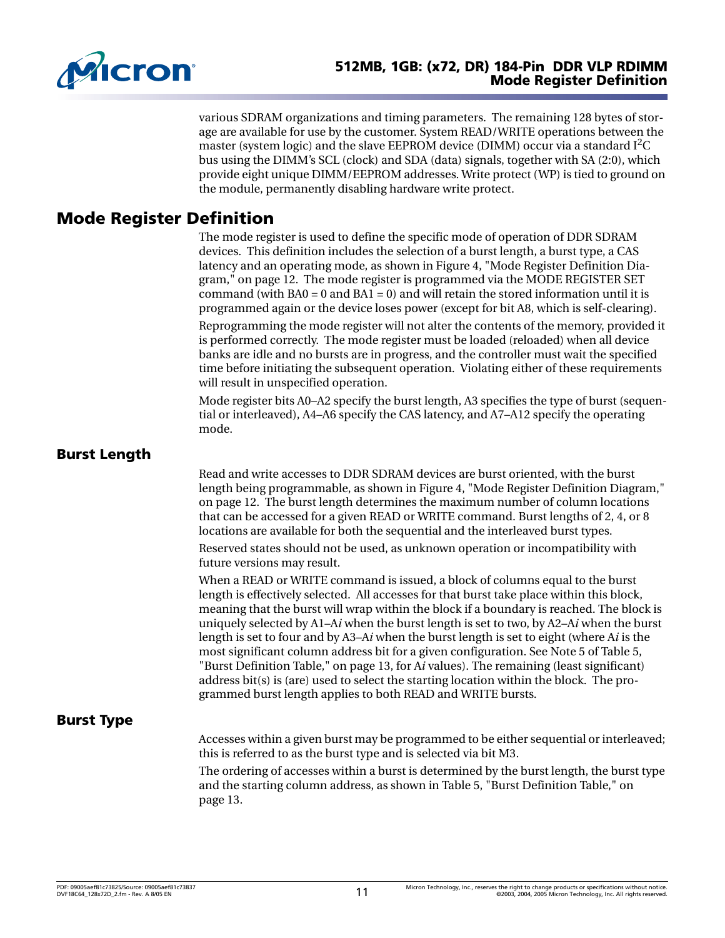

various SDRAM organizations and timing parameters. The remaining 128 bytes of storage are available for use by the customer. System READ/WRITE operations between the master (system logic) and the slave EEPROM device (DIMM) occur via a standard  $I<sup>2</sup>C$ bus using the DIMM's SCL (clock) and SDA (data) signals, together with SA (2:0), which provide eight unique DIMM/EEPROM addresses. Write protect (WP) is tied to ground on the module, permanently disabling hardware write protect.

# <span id="page-10-0"></span>**Mode Register Definition**

The mode register is used to define the specific mode of operation of DDR SDRAM devices. This definition includes the selection of a burst length, a burst type, a CAS latency and an operating mode, as shown in [Figure 4, "Mode Register Definition Dia](#page-11-1)[gram," on page 12.](#page-11-1) The mode register is programmed via the MODE REGISTER SET command (with  $BA0 = 0$  and  $BA1 = 0$ ) and will retain the stored information until it is programmed again or the device loses power (except for bit A8, which is self-clearing).

Reprogramming the mode register will not alter the contents of the memory, provided it is performed correctly. The mode register must be loaded (reloaded) when all device banks are idle and no bursts are in progress, and the controller must wait the specified time before initiating the subsequent operation. Violating either of these requirements will result in unspecified operation.

Mode register bits A0–A2 specify the burst length, A3 specifies the type of burst (sequential or interleaved), A4–A6 specify the CAS latency, and A7–A12 specify the operating mode.

### <span id="page-10-1"></span>**Burst Length**

Read and write accesses to DDR SDRAM devices are burst oriented, with the burst length being programmable, as shown in [Figure 4, "Mode Register Definition Diagram,"](#page-11-1)  [on page 12.](#page-11-1) The burst length determines the maximum number of column locations that can be accessed for a given READ or WRITE command. Burst lengths of 2, 4, or 8 locations are available for both the sequential and the interleaved burst types. Reserved states should not be used, as unknown operation or incompatibility with

future versions may result.

When a READ or WRITE command is issued, a block of columns equal to the burst length is effectively selected. All accesses for that burst take place within this block, meaning that the burst will wrap within the block if a boundary is reached. The block is uniquely selected by A1–A*i* when the burst length is set to two, by A2–A*i* when the burst length is set to four and by A3–A*i* when the burst length is set to eight (where A*i* is the most significant column address bit for a given configuration. See Note [5](#page-12-2) of [Table 5,](#page-12-0)  ["Burst Definition Table," on page 13,](#page-12-0) for A*i* values). The remaining (least significant) address bit(s) is (are) used to select the starting location within the block. The programmed burst length applies to both READ and WRITE bursts.

### <span id="page-10-2"></span>**Burst Type**

Accesses within a given burst may be programmed to be either sequential or interleaved; this is referred to as the burst type and is selected via bit M3.

The ordering of accesses within a burst is determined by the burst length, the burst type and the starting column address, as shown in [Table 5, "Burst Definition Table," on](#page-12-0)  [page 13](#page-12-0).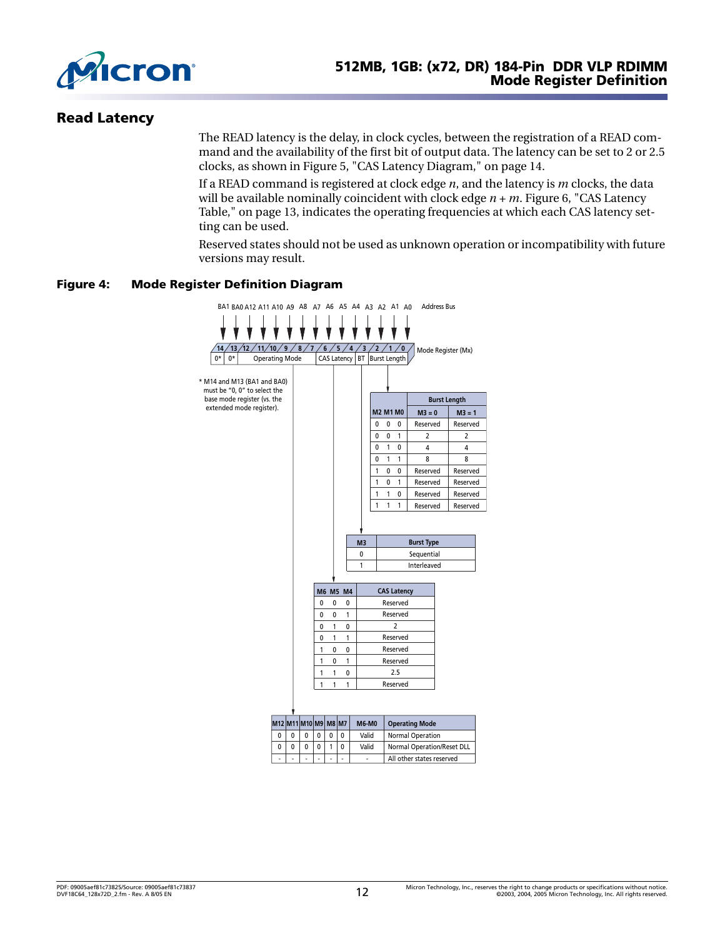

### <span id="page-11-0"></span>**Read Latency**

The READ latency is the delay, in clock cycles, between the registration of a READ command and the availability of the first bit of output data. The latency can be set to 2 or 2.5 clocks, as shown in [Figure 5, "CAS Latency Diagram," on page 14.](#page-13-2)

If a READ command is registered at clock edge *n*, and the latency is *m* clocks, the data will be available nominally coincident with clock edge *n + m*. [Figure 6, "CAS Latency](#page-12-1)  [Table," on page 13](#page-12-1), indicates the operating frequencies at which each CAS latency setting can be used.

Reserved states should not be used as unknown operation or incompatibility with future versions may result.

#### <span id="page-11-1"></span>**Figure 4: Mode Register Definition Diagram**



|  |  |  | <b>Valid</b> | Normal Operation           |
|--|--|--|--------------|----------------------------|
|  |  |  | Valid        | Normal Operation/Reset DLL |
|  |  |  |              | All other states reserved  |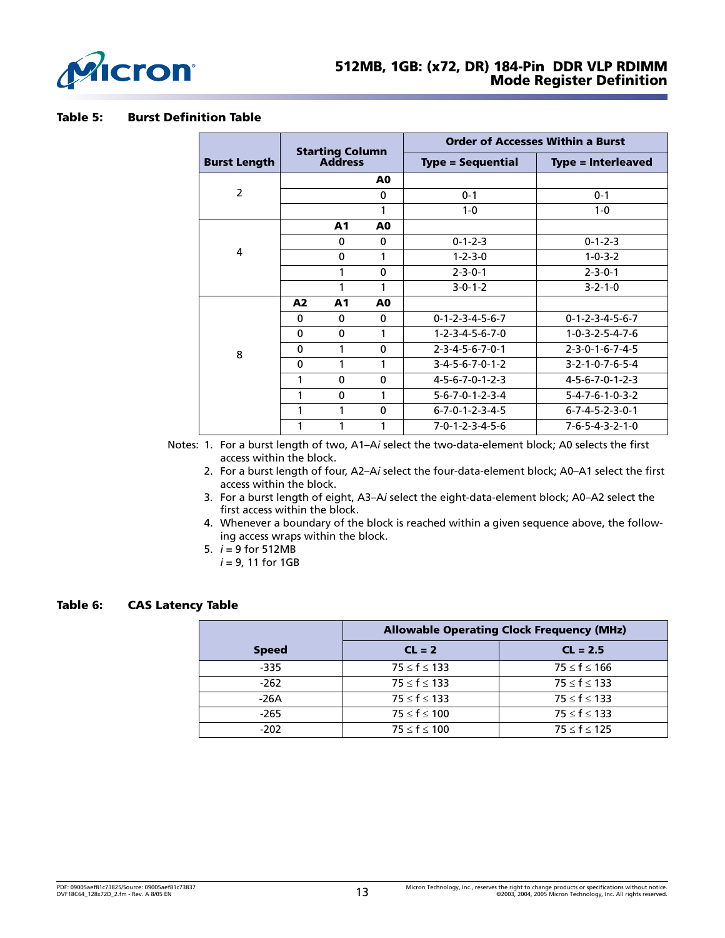

#### <span id="page-12-0"></span>**Table 5: Burst Definition Table**

|                     |             | <b>Starting Column</b> |                | <b>Order of Accesses Within a Burst</b> |                                 |  |  |
|---------------------|-------------|------------------------|----------------|-----------------------------------------|---------------------------------|--|--|
| <b>Burst Length</b> |             | <b>Address</b>         |                | <b>Type = Sequential</b>                | <b>Type = Interleaved</b>       |  |  |
|                     |             |                        | A <sub>0</sub> |                                         |                                 |  |  |
| $\overline{2}$      |             |                        | $\mathbf 0$    | $0 - 1$                                 | $0 - 1$                         |  |  |
|                     |             |                        | 1              | $1 - 0$                                 | $1 - 0$                         |  |  |
|                     |             | A1                     | A <sub>0</sub> |                                         |                                 |  |  |
|                     |             | 0                      | $\mathbf 0$    | $0 - 1 - 2 - 3$                         | $0 - 1 - 2 - 3$                 |  |  |
| 4                   |             | $\mathbf 0$            | 1              | $1 - 2 - 3 - 0$                         | $1 - 0 - 3 - 2$                 |  |  |
|                     |             | 1                      | $\mathbf 0$    | $2 - 3 - 0 - 1$                         | $2 - 3 - 0 - 1$                 |  |  |
|                     |             | 1                      | 1              | $3-0-1-2$                               | $3 - 2 - 1 - 0$                 |  |  |
|                     | A2          | A1                     | A <sub>0</sub> |                                         |                                 |  |  |
|                     | $\Omega$    | $\Omega$               | $\Omega$       | $0 - 1 - 2 - 3 - 4 - 5 - 6 - 7$         | $0 - 1 - 2 - 3 - 4 - 5 - 6 - 7$ |  |  |
|                     | $\Omega$    | $\mathbf 0$            | 1              | $1 - 2 - 3 - 4 - 5 - 6 - 7 - 0$         | $1 - 0 - 3 - 2 - 5 - 4 - 7 - 6$ |  |  |
| 8                   | $\mathbf 0$ | 1                      | $\mathbf 0$    | $2 - 3 - 4 - 5 - 6 - 7 - 0 - 1$         | $2 - 3 - 0 - 1 - 6 - 7 - 4 - 5$ |  |  |
|                     | $\mathbf 0$ | 1                      | 1              | $3-4-5-6-7-0-1-2$                       | $3 - 2 - 1 - 0 - 7 - 6 - 5 - 4$ |  |  |
|                     | 1           | 0                      | $\mathbf 0$    | $4 - 5 - 6 - 7 - 0 - 1 - 2 - 3$         | $4 - 5 - 6 - 7 - 0 - 1 - 2 - 3$ |  |  |
|                     | 1           | 0                      | 1              | $5 - 6 - 7 - 0 - 1 - 2 - 3 - 4$         | $5 - 4 - 7 - 6 - 1 - 0 - 3 - 2$ |  |  |
|                     | 1           | 1                      | $\mathbf 0$    | $6 - 7 - 0 - 1 - 2 - 3 - 4 - 5$         | $6 - 7 - 4 - 5 - 2 - 3 - 0 - 1$ |  |  |
|                     | 1           |                        | 1              | $7 - 0 - 1 - 2 - 3 - 4 - 5 - 6$         | $7 - 6 - 5 - 4 - 3 - 2 - 1 - 0$ |  |  |

Notes: 1. For a burst length of two, A1–A*i* select the two-data-element block; A0 selects the first access within the block.

- 2. For a burst length of four, A2–A*i* select the four-data-element block; A0–A1 select the first access within the block.
- 3. For a burst length of eight, A3–A*i* select the eight-data-element block; A0–A2 select the first access within the block.
- 4. Whenever a boundary of the block is reached within a given sequence above, the following access wraps within the block.
- 5. *i* = 9 for 512MB
	- *i* = 9, 11 for 1GB

#### <span id="page-12-2"></span><span id="page-12-1"></span>**Table 6: CAS Latency Table**

|              | <b>Allowable Operating Clock Frequency (MHz)</b> |                    |  |  |  |  |  |
|--------------|--------------------------------------------------|--------------------|--|--|--|--|--|
| <b>Speed</b> | $CL = 2$                                         | $CL = 2.5$         |  |  |  |  |  |
| $-335$       | $75 \le f \le 133$                               | $75 \le f \le 166$ |  |  |  |  |  |
| $-262$       | $75 \le f \le 133$                               | $75 \le f \le 133$ |  |  |  |  |  |
| $-26A$       | $75 \le f \le 133$                               | $75 \le f \le 133$ |  |  |  |  |  |
| $-265$       | $75 \le f \le 100$                               | $75 \le f \le 133$ |  |  |  |  |  |
| $-202$       | $75 \le f \le 100$                               | $75 \le f \le 125$ |  |  |  |  |  |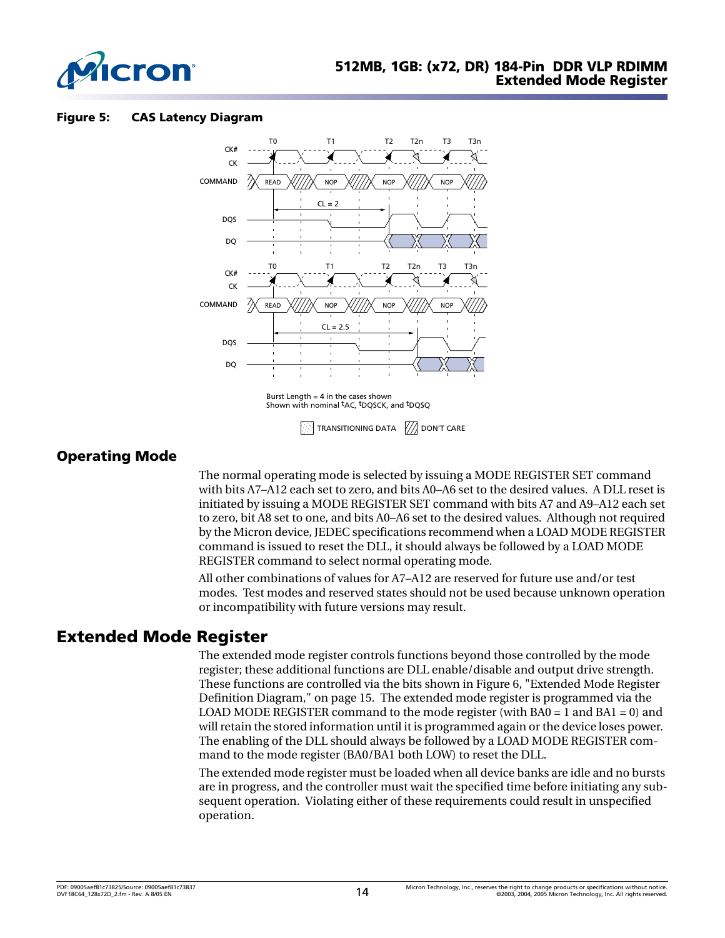

#### <span id="page-13-2"></span>**Figure 5: CAS Latency Diagram**



### <span id="page-13-0"></span>**Operating Mode**

The normal operating mode is selected by issuing a MODE REGISTER SET command with bits A7–A12 each set to zero, and bits A0–A6 set to the desired values. A DLL reset is initiated by issuing a MODE REGISTER SET command with bits A7 and A9–A12 each set to zero, bit A8 set to one, and bits A0–A6 set to the desired values. Although not required by the Micron device, JEDEC specifications recommend when a LOAD MODE REGISTER command is issued to reset the DLL, it should always be followed by a LOAD MODE REGISTER command to select normal operating mode.

All other combinations of values for A7–A12 are reserved for future use and/or test modes. Test modes and reserved states should not be used because unknown operation or incompatibility with future versions may result.

## <span id="page-13-1"></span>**Extended Mode Register**

The extended mode register controls functions beyond those controlled by the mode register; these additional functions are DLL enable/disable and output drive strength. These functions are controlled via the bits shown in [Figure 6, "Extended Mode Register](#page-14-1)  [Definition Diagram," on page 15](#page-14-1). The extended mode register is programmed via the LOAD MODE REGISTER command to the mode register (with  $BA0 = 1$  and  $BA1 = 0$ ) and will retain the stored information until it is programmed again or the device loses power. The enabling of the DLL should always be followed by a LOAD MODE REGISTER command to the mode register (BA0/BA1 both LOW) to reset the DLL.

The extended mode register must be loaded when all device banks are idle and no bursts are in progress, and the controller must wait the specified time before initiating any subsequent operation. Violating either of these requirements could result in unspecified operation.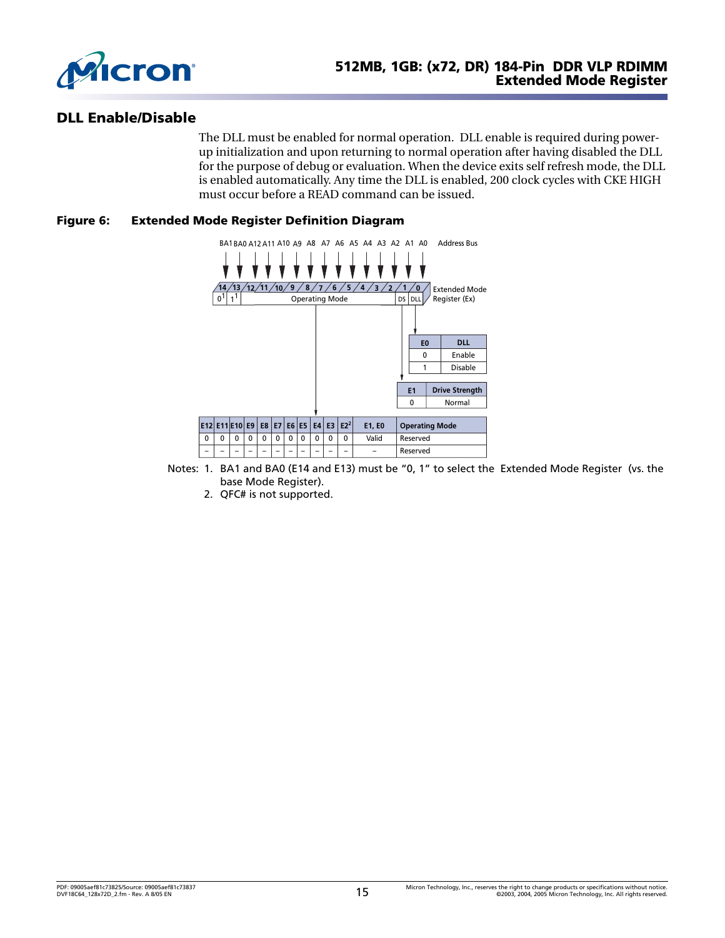

### <span id="page-14-0"></span>**DLL Enable/Disable**

The DLL must be enabled for normal operation. DLL enable is required during powerup initialization and upon returning to normal operation after having disabled the DLL for the purpose of debug or evaluation. When the device exits self refresh mode, the DLL is enabled automatically. Any time the DLL is enabled, 200 clock cycles with CKE HIGH must occur before a READ command can be issued.

#### <span id="page-14-1"></span>**Figure 6: Extended Mode Register Definition Diagram**



- Notes: 1. BA1 and BA0 (E14 and E13) must be "0, 1" to select the Extended Mode Register (vs. the base Mode Register).
	- 2. QFC# is not supported.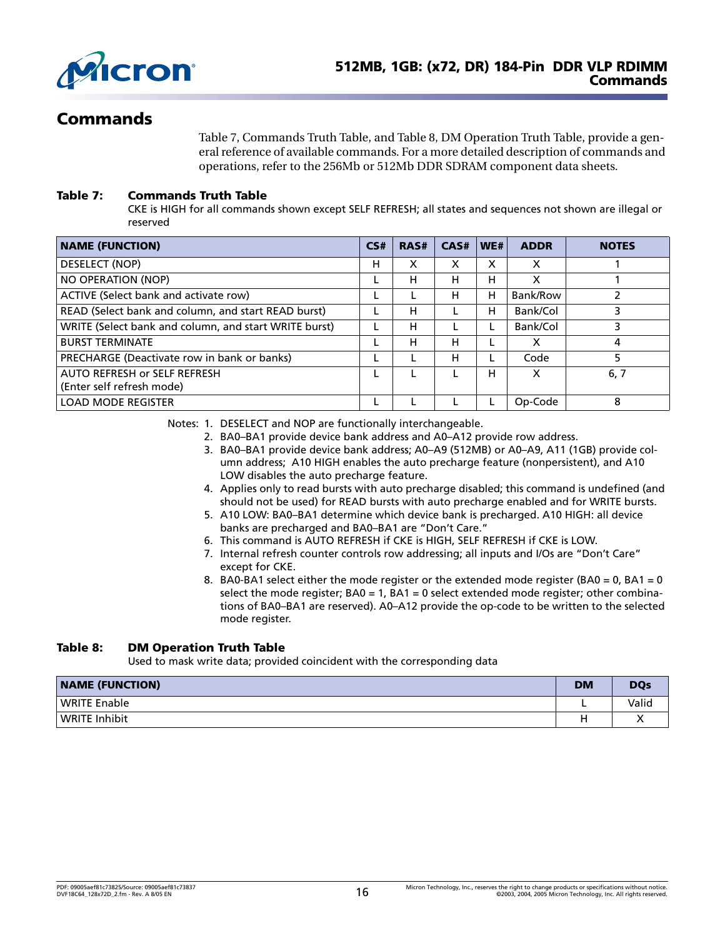

# <span id="page-15-0"></span>**Commands**

[Table 7, Commands Truth Table](#page-15-1), and [Table 8, DM Operation Truth Table,](#page-15-2) provide a general reference of available commands. For a more detailed description of commands and operations, refer to the 256Mb or 512Mb DDR SDRAM component data sheets.

#### <span id="page-15-1"></span>**Table 7: Commands Truth Table**

CKE is HIGH for all commands shown except SELF REFRESH; all states and sequences not shown are illegal or reserved

| <b>NAME (FUNCTION)</b>                                    | CS# | RAS# | CAS# | WE# | <b>ADDR</b> | <b>NOTES</b> |
|-----------------------------------------------------------|-----|------|------|-----|-------------|--------------|
| DESELECT (NOP)                                            | н   | X    | х    | X   | $\times$    |              |
| NO OPERATION (NOP)                                        |     | н    | н    | н   | х           |              |
| ACTIVE (Select bank and activate row)                     |     |      | н    | н   | Bank/Row    |              |
| READ (Select bank and column, and start READ burst)       |     | н    |      | н   | Bank/Col    |              |
| WRITE (Select bank and column, and start WRITE burst)     |     | н    |      |     | Bank/Col    |              |
| <b>BURST TERMINATE</b>                                    |     | н    | н    |     | х           | 4            |
| PRECHARGE (Deactivate row in bank or banks)               |     |      | н    |     | Code        | 5            |
| AUTO REFRESH or SELF REFRESH<br>(Enter self refresh mode) |     |      |      | н   | $\times$    | 6, 7         |
| <b>LOAD MODE REGISTER</b>                                 |     |      |      |     | Op-Code     | 8            |

Notes: 1. DESELECT and NOP are functionally interchangeable.

- 2. BA0–BA1 provide device bank address and A0–A12 provide row address.
- 3. BA0–BA1 provide device bank address; A0–A9 (512MB) or A0–A9, A11 (1GB) provide column address; A10 HIGH enables the auto precharge feature (nonpersistent), and A10 LOW disables the auto precharge feature.
- 4. Applies only to read bursts with auto precharge disabled; this command is undefined (and should not be used) for READ bursts with auto precharge enabled and for WRITE bursts.
- 5. A10 LOW: BA0–BA1 determine which device bank is precharged. A10 HIGH: all device banks are precharged and BA0–BA1 are "Don't Care."
- 6. This command is AUTO REFRESH if CKE is HIGH, SELF REFRESH if CKE is LOW.
- 7. Internal refresh counter controls row addressing; all inputs and I/Os are "Don't Care" except for CKE.
- 8. BA0-BA1 select either the mode register or the extended mode register (BA0 = 0, BA1 = 0 select the mode register;  $BA0 = 1$ ,  $BA1 = 0$  select extended mode register; other combinations of BA0–BA1 are reserved). A0–A12 provide the op-code to be written to the selected mode register.

#### <span id="page-15-2"></span>**Table 8: DM Operation Truth Table**

Used to mask write data; provided coincident with the corresponding data

| <b>NAME (FUNCTION)</b> | <b>DM</b> | <b>DQs</b> |
|------------------------|-----------|------------|
| <b>WRITE Enable</b>    |           | Valid      |
| <b>WRITE Inhibit</b>   |           |            |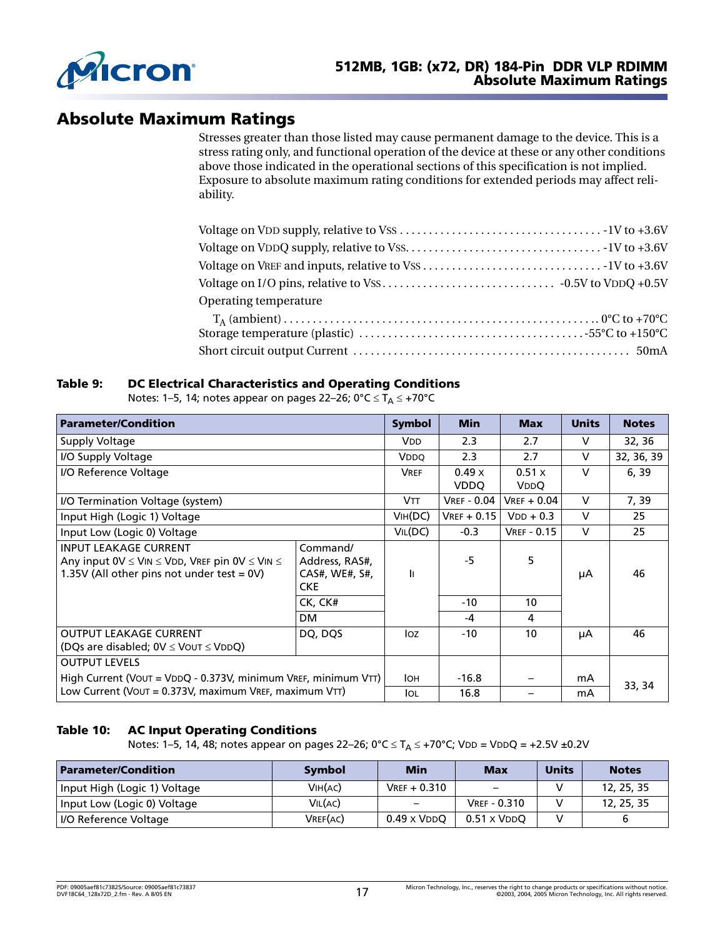

# <span id="page-16-0"></span>**Absolute Maximum Ratings**

Stresses greater than those listed may cause permanent damage to the device. This is a stress rating only, and functional operation of the device at these or any other conditions above those indicated in the operational sections of this specification is not implied. Exposure to absolute maximum rating conditions for extended periods may affect reliability.

| Operating temperature |  |
|-----------------------|--|
|                       |  |
|                       |  |
|                       |  |

#### <span id="page-16-1"></span>**Table 9: DC Electrical Characteristics and Operating Conditions**

Notes: [1](#page-21-3)[–5](#page-21-4), [14](#page-21-5); notes appear on [pages 22](#page-21-3)–26;  $0^{\circ}C \le T_A \le +70^{\circ}C$ 

| <b>Parameter/Condition</b>                                                                                                                                 |                                                            | <b>Symbol</b>        | <b>Min</b>                   | <b>Max</b>           | <b>Units</b> | <b>Notes</b> |
|------------------------------------------------------------------------------------------------------------------------------------------------------------|------------------------------------------------------------|----------------------|------------------------------|----------------------|--------------|--------------|
| Supply Voltage                                                                                                                                             |                                                            | V <sub>DD</sub>      | 2.3                          | 2.7                  | $\vee$       | 32, 36       |
| I/O Supply Voltage                                                                                                                                         |                                                            | VDDO                 | 2.3                          | 2.7                  | $\vee$       | 32, 36, 39   |
| I/O Reference Voltage                                                                                                                                      |                                                            | <b>VREF</b>          | $0.49 \times$<br><b>VDDO</b> | 0.51x<br><b>VDDO</b> | $\vee$       | 6, 39        |
| I/O Termination Voltage (system)                                                                                                                           |                                                            | <b>VTT</b>           | <b>VREF - 0.04</b>           | $V$ REF + 0.04       | $\vee$       | 7, 39        |
| Input High (Logic 1) Voltage                                                                                                                               |                                                            | V <sub>IH</sub> (DC) | $V$ REF + 0.15               | $VDD + 0.3$          | v            | 25           |
| Input Low (Logic 0) Voltage                                                                                                                                |                                                            | VIL(DC)              | $-0.3$                       | <b>VREF - 0.15</b>   | $\vee$       | 25           |
| <b>INPUT LEAKAGE CURRENT</b><br>Any input $0 \vee \leq V$ IN $\leq V$ DD, VREF pin $0 \vee \leq V$ IN $\leq$<br>1.35V (All other pins not under test = 0V) | Command/<br>Address, RAS#,<br>CAS#, WE#, S#,<br><b>CKE</b> | $\mathbf{I}$         | -5                           | 5.                   | μA           | 46           |
|                                                                                                                                                            | CK, CK#                                                    |                      | $-10$                        | 10                   |              |              |
|                                                                                                                                                            | <b>DM</b>                                                  |                      | $-4$                         | 4                    |              |              |
| <b>OUTPUT LEAKAGE CURRENT</b><br>(DQs are disabled; $0V \leq V$ OUT $\leq VDDQ$ )                                                                          | DQ, DQS                                                    | Ioz                  | $-10$                        | 10                   | μA           | 46           |
| <b>OUTPUT LEVELS</b>                                                                                                                                       |                                                            |                      |                              |                      |              |              |
| High Current (VOUT = VDDQ - 0.373V, minimum VREF, minimum VTT)                                                                                             |                                                            | <b>I</b> OH          | $-16.8$                      |                      | mA           |              |
| Low Current (Vout = 0.373V, maximum VREF, maximum VTT)                                                                                                     |                                                            | lol                  | 16.8                         |                      | mA           | 33, 34       |

#### <span id="page-16-2"></span>**Table 10: AC Input Operating Conditions**

Notes: [1](#page-21-3)[–5](#page-21-4), [14](#page-21-5), [48](#page-25-0); notes appear on [pages 22](#page-21-3)–26; 0°C  $\leq$  T<sub>A</sub>  $\leq$  +70°C; VDD = VDDQ = +2.5V ±0.2V

| <b>Parameter/Condition</b>   | <b>Symbol</b> | <b>Min</b>               | <b>Max</b>               | <b>Units</b> | <b>Notes</b> |
|------------------------------|---------------|--------------------------|--------------------------|--------------|--------------|
| Input High (Logic 1) Voltage | VIH(AC)       | $V$ REF + 0.310          | $\overline{\phantom{0}}$ |              | 12, 25, 35   |
| Input Low (Logic 0) Voltage  | VIL(AC)       | $\overline{\phantom{0}}$ | <b>VREF - 0.310</b>      |              | 12, 25, 35   |
| I/O Reference Voltage        | VREF(AC)      | $0.49 \times VDDQ$       | $0.51 \times VDDO$       |              |              |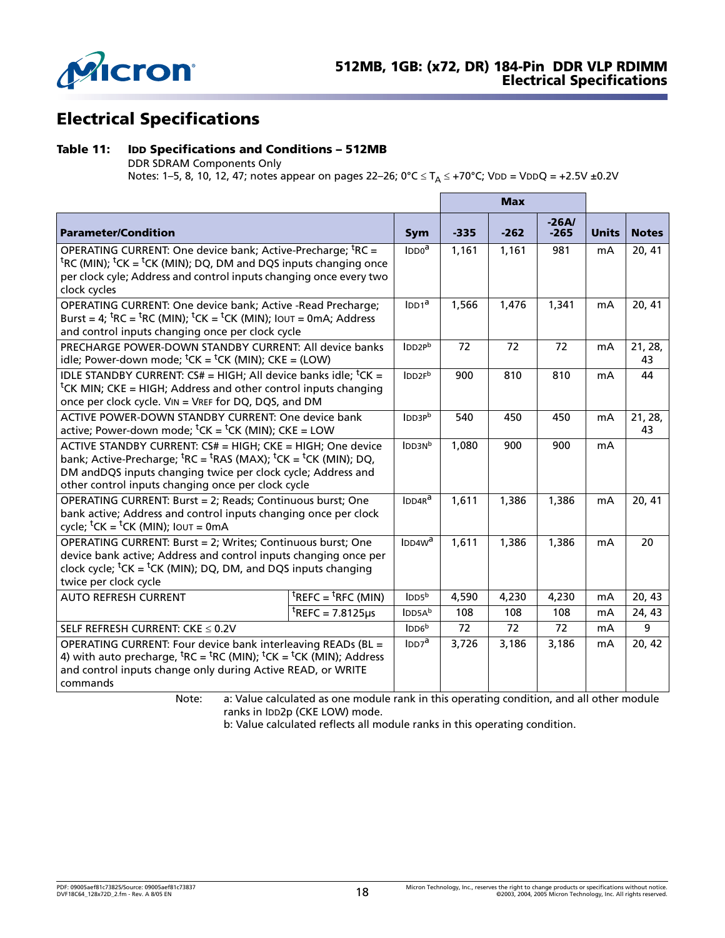

# <span id="page-17-0"></span>**Electrical Specifications**

#### <span id="page-17-1"></span>**Table 11: IDD Specifications and Conditions – 512MB**

DDR SDRAM Components Only

Notes: [1](#page-21-3)[–5](#page-21-4), [8](#page-21-7), [10](#page-21-8), 12, 47; notes appear on [pages 22](#page-21-3)–26; 0°C ≤ T<sub>A</sub> ≤ +70°C; VDD = VDDQ = +2.5V ±0.2V

|                                                                                                                                                                                                                                                                                                                |                                                  |                              |        | <b>Max</b> |                   |              |               |
|----------------------------------------------------------------------------------------------------------------------------------------------------------------------------------------------------------------------------------------------------------------------------------------------------------------|--------------------------------------------------|------------------------------|--------|------------|-------------------|--------------|---------------|
| <b>Parameter/Condition</b>                                                                                                                                                                                                                                                                                     |                                                  | Sym                          | $-335$ | $-262$     | $-26A/$<br>$-265$ | <b>Units</b> | <b>Notes</b>  |
| OPERATING CURRENT: One device bank; Active-Precharge; <sup>t</sup> RC =<br><sup>t</sup> RC (MIN); <sup>t</sup> CK = <sup>t</sup> CK (MIN); DQ, DM and DQS inputs changing once<br>per clock cyle; Address and control inputs changing once every two<br>clock cycles                                           |                                                  | IDDO <sup>a</sup>            | 1,161  | 1,161      | 981               | mA           | 20, 41        |
| OPERATING CURRENT: One device bank; Active -Read Precharge;<br>Burst = 4; ${}^{\text{t}}$ RC = ${}^{\text{t}}$ RC (MIN); ${}^{\text{t}}$ CK = ${}^{\text{t}}$ CK (MIN); IOUT = 0mA; Address<br>and control inputs changing once per clock cycle                                                                |                                                  | IDD1 <sup>a</sup>            | 1,566  | 1,476      | 1,341             | mA           | 20, 41        |
| PRECHARGE POWER-DOWN STANDBY CURRENT: All device banks<br>idle; Power-down mode; ${}^tCK = {}^tCK$ (MIN); $CKE = (LOW)$                                                                                                                                                                                        |                                                  | IDD <sub>2Pb</sub>           | 72     | 72         | 72                | mA           | 21, 28,<br>43 |
| IDLE STANDBY CURRENT: CS# = HIGH; All device banks idle; ${}^t$ CK =<br><sup>t</sup> CK MIN; CKE = HIGH; Address and other control inputs changing<br>once per clock cycle. VIN = VREF for DQ, DQS, and DM                                                                                                     |                                                  | IDD <sub>2Fb</sub>           | 900    | 810        | 810               | mA           | 44            |
| <b>ACTIVE POWER-DOWN STANDBY CURRENT: One device bank</b><br>active; Power-down mode; ${}^{\text{t}}$ CK = ${}^{\text{t}}$ CK (MIN); CKE = LOW                                                                                                                                                                 |                                                  | IDD3P <sup>b</sup>           | 540    | 450        | 450               | mA           | 21, 28,<br>43 |
| ACTIVE STANDBY CURRENT: CS# = HIGH; CKE = HIGH; One device<br>bank; Active-Precharge; ${}^{\text{t}}$ RC = ${}^{\text{t}}$ RAS (MAX); ${}^{\text{t}}$ CK = ${}^{\text{t}}$ CK (MIN); DQ,<br>DM andDQS inputs changing twice per clock cycle; Address and<br>other control inputs changing once per clock cycle |                                                  | IDD3Nb                       | 1,080  | 900        | 900               | mA           |               |
| OPERATING CURRENT: Burst = 2; Reads; Continuous burst; One<br>bank active; Address and control inputs changing once per clock<br>cycle; ${}^t$ CK = ${}^t$ CK (MIN); Iout = 0mA                                                                                                                                |                                                  | IDDAR <sup>a</sup>           | 1,611  | 1,386      | 1,386             | mA           | 20, 41        |
| OPERATING CURRENT: Burst = 2; Writes; Continuous burst; One<br>device bank active; Address and control inputs changing once per<br>clock cycle; ${}^t$ CK = ${}^t$ CK (MIN); DQ, DM, and DQS inputs changing<br>twice per clock cycle                                                                          |                                                  | IDDAW <sup>a</sup>           | 1,611  | 1,386      | 1,386             | mA           | 20            |
| <b>AUTO REFRESH CURRENT</b>                                                                                                                                                                                                                                                                                    | ${}^{\text{t}}$ REFC = ${}^{\text{t}}$ RFC (MIN) | $\mathsf{IDDS}^{\mathsf{b}}$ | 4,590  | 4,230      | 4,230             | mA           | 20, 43        |
|                                                                                                                                                                                                                                                                                                                | <sup>t</sup> REFC = 7.8125 $\mu$ s               | IDD5Ab                       | 108    | 108        | 108               | mA           | 24, 43        |
| SELF REFRESH CURRENT: CKE ≤ 0.2V                                                                                                                                                                                                                                                                               |                                                  | IDD6 <sup>b</sup>            | 72     | 72         | 72                | mA           | 9             |
| OPERATING CURRENT: Four device bank interleaving READs (BL =<br>4) with auto precharge, ${}^{\text{t}}$ RC = ${}^{\text{t}}$ RC (MIN); ${}^{\text{t}}$ CK = ${}^{\text{t}}$ CK (MIN); Address<br>and control inputs change only during Active READ, or WRITE<br>commands                                       |                                                  | $\mathsf{IDD7}^a$            | 3,726  | 3,186      | 3,186             | mA           | 20, 42        |

Note: a: Value calculated as one module rank in this operating condition, and all other module ranks in IDD2p (CKE LOW) mode.

b: Value calculated reflects all module ranks in this operating condition.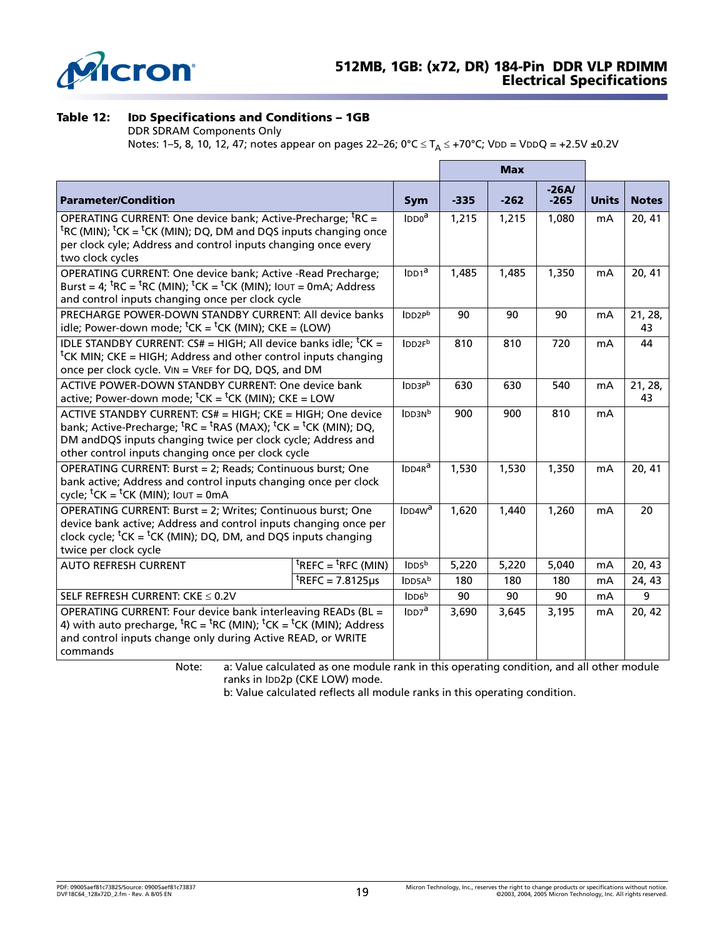

### <span id="page-18-0"></span>**Table 12: IDD Specifications and Conditions – 1GB**

DDR SDRAM Components Only

Notes: [1](#page-21-3)[–5](#page-21-4), [8](#page-21-7), [10](#page-21-8), 12, 47; notes appear on [pages 22](#page-21-3)–26; 0°C ≤ T<sub>A</sub> ≤ +70°C; VDD = VDDQ = +2.5V ±0.2V

|                                                                                                                                                                                                                                                                                                                |                                                  |                              |        | <b>Max</b> |                   |              |               |
|----------------------------------------------------------------------------------------------------------------------------------------------------------------------------------------------------------------------------------------------------------------------------------------------------------------|--------------------------------------------------|------------------------------|--------|------------|-------------------|--------------|---------------|
| <b>Parameter/Condition</b>                                                                                                                                                                                                                                                                                     |                                                  | <b>Sym</b>                   | $-335$ | $-262$     | $-26A/$<br>$-265$ | <b>Units</b> | <b>Notes</b>  |
| OPERATING CURRENT: One device bank; Active-Precharge; <sup>t</sup> RC =<br><sup>t</sup> RC (MIN); <sup>t</sup> CK = <sup>t</sup> CK (MIN); DQ, DM and DQS inputs changing once<br>per clock cyle; Address and control inputs changing once every<br>two clock cycles                                           |                                                  | $\mathsf{IDDO}^{\mathsf{a}}$ | 1,215  | 1,215      | 1,080             | mA           | 20, 41        |
| OPERATING CURRENT: One device bank; Active -Read Precharge;<br>Burst = 4; ${}^{\text{t}}$ RC = ${}^{\text{t}}$ RC (MIN); ${}^{\text{t}}$ CK = ${}^{\text{t}}$ CK (MIN); IOUT = 0mA; Address<br>and control inputs changing once per clock cycle                                                                |                                                  | IDD1 <sup>a</sup>            | 1,485  | 1,485      | 1,350             | mA           | 20, 41        |
| PRECHARGE POWER-DOWN STANDBY CURRENT: All device banks<br>idle; Power-down mode; ${}^tCK = {}^tCK$ (MIN); $CKE = (LOW)$                                                                                                                                                                                        |                                                  | IDD2P <sup>b</sup>           | 90     | 90         | 90                | mA           | 21, 28,<br>43 |
| IDLE STANDBY CURRENT: CS# = HIGH; All device banks idle; ${}^t$ CK =<br><sup>t</sup> CK MIN; CKE = HIGH; Address and other control inputs changing<br>once per clock cycle. VIN = VREF for DQ, DQS, and DM                                                                                                     |                                                  | IDD <sub>2Fb</sub>           | 810    | 810        | 720               | mA           | 44            |
| <b>ACTIVE POWER-DOWN STANDBY CURRENT: One device bank</b><br>active; Power-down mode; ${}^{\text{t}}$ CK = ${}^{\text{t}}$ CK (MIN); CKE = LOW                                                                                                                                                                 |                                                  | IDD3P <sup>b</sup>           | 630    | 630        | 540               | mA           | 21, 28,<br>43 |
| ACTIVE STANDBY CURRENT: CS# = HIGH; CKE = HIGH; One device<br>bank; Active-Precharge; ${}^{\text{t}}$ RC = ${}^{\text{t}}$ RAS (MAX); ${}^{\text{t}}$ CK = ${}^{\text{t}}$ CK (MIN); DQ,<br>DM andDQS inputs changing twice per clock cycle; Address and<br>other control inputs changing once per clock cycle |                                                  | IDDSN <sup>b</sup>           | 900    | 900        | 810               | mA           |               |
| OPERATING CURRENT: Burst = 2; Reads; Continuous burst; One<br>bank active; Address and control inputs changing once per clock<br>cycle; ${}^t$ CK = ${}^t$ CK (MIN); Iout = 0mA                                                                                                                                |                                                  | $IDDAR^a$                    | 1,530  | 1,530      | 1,350             | mA           | 20, 41        |
| OPERATING CURRENT: Burst = 2; Writes; Continuous burst; One<br>device bank active; Address and control inputs changing once per<br>clock cycle; ${}^t$ CK = ${}^t$ CK (MIN); DQ, DM, and DQS inputs changing<br>twice per clock cycle                                                                          |                                                  | IDDAW <sup>a</sup>           | 1,620  | 1,440      | 1,260             | mA           | 20            |
| <b>AUTO REFRESH CURRENT</b>                                                                                                                                                                                                                                                                                    | ${}^{\text{t}}$ REFC = ${}^{\text{t}}$ RFC (MIN) | IDD5 <sup>b</sup>            | 5,220  | 5,220      | 5,040             | mA           | 20, 43        |
|                                                                                                                                                                                                                                                                                                                | <sup>t</sup> REFC = 7.8125 $\mu$ s               | IDDSA <sup>b</sup>           | 180    | 180        | 180               | mA           | 24, 43        |
| SELF REFRESH CURRENT: CKE ≤ 0.2V                                                                                                                                                                                                                                                                               |                                                  | IDD6 <sup>b</sup>            | 90     | 90         | 90                | mA           | 9             |
| OPERATING CURRENT: Four device bank interleaving READs (BL =<br>4) with auto precharge, ${}^{\text{t}}$ RC = ${}^{\text{t}}$ RC (MIN); ${}^{\text{t}}$ CK = ${}^{\text{t}}$ CK (MIN); Address<br>and control inputs change only during Active READ, or WRITE<br>commands                                       |                                                  | $\mathsf{IDD7}^a$            | 3,690  | 3,645      | 3,195             | mA           | 20, 42        |

Note: a: Value calculated as one module rank in this operating condition, and all other module ranks in IDD2p (CKE LOW) mode.

b: Value calculated reflects all module ranks in this operating condition.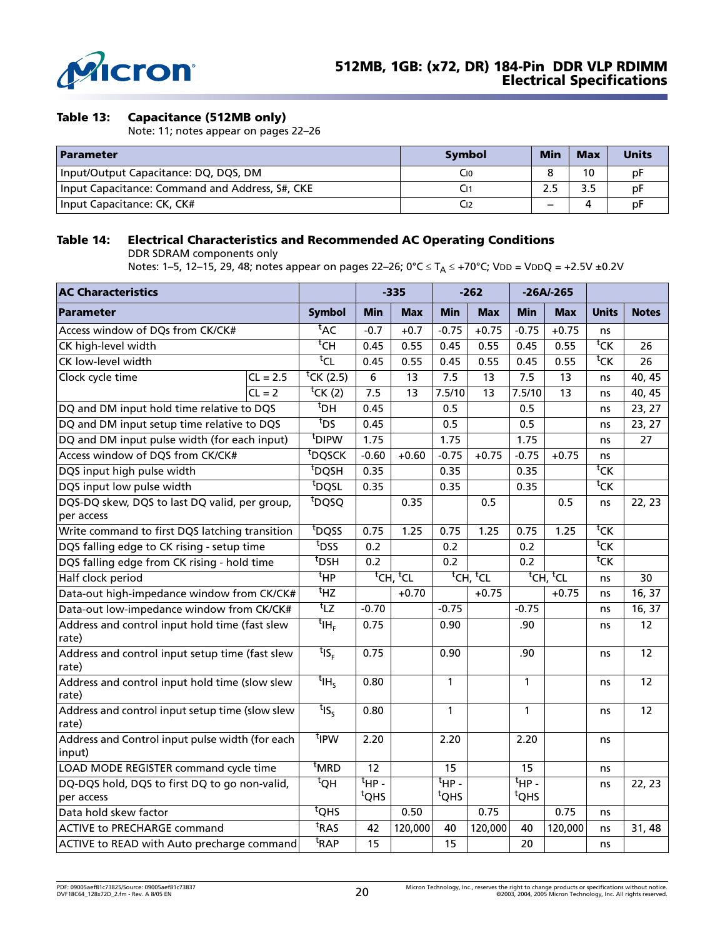

#### <span id="page-19-0"></span>**Table 13: Capacitance (512MB only)**

Note: [11](#page-21-10); notes appear on [pages 22](#page-21-3)–26

| <b>Parameter</b>                                | <b>Symbol</b> | <b>Min</b> | <b>Max</b> | <b>Units</b> |
|-------------------------------------------------|---------------|------------|------------|--------------|
| Input/Output Capacitance: DQ, DQS, DM           | C10           |            | 10         | рF           |
| Input Capacitance: Command and Address, S#, CKE |               | 2.5        |            | рF           |
| Input Capacitance: CK, CK#                      |               |            |            | рF           |

#### <span id="page-19-1"></span>**Table 14: Electrical Characteristics and Recommended AC Operating Conditions**

DDR SDRAM components only

Notes: [1](#page-21-3)[–5](#page-21-4), 12–[15,](#page-21-9) [29,](#page-22-4) [48;](#page-25-0) notes appear on [pages 22–](#page-21-3)26; 0°C ≤ T<sub>A</sub> ≤ +70°C; VDD = VDDQ = +2.5V ±0.2V

| <b>AC Characteristics</b>                                   |                  |                                 |                  | $-335$                           |                                | $-262$                           |                                | $-26A/-265$                      |                     |              |
|-------------------------------------------------------------|------------------|---------------------------------|------------------|----------------------------------|--------------------------------|----------------------------------|--------------------------------|----------------------------------|---------------------|--------------|
| <b>Parameter</b>                                            |                  | <b>Symbol</b>                   | Min              | <b>Max</b>                       | <b>Min</b>                     | <b>Max</b>                       | <b>Min</b>                     | <b>Max</b>                       | <b>Units</b>        | <b>Notes</b> |
| Access window of DQs from CK/CK#                            |                  | <sup>t</sup> AC                 | $-0.7$           | $+0.7$                           | $-0.75$                        | $+0.75$                          | $-0.75$                        | $+0.75$                          | ns                  |              |
| CK high-level width                                         |                  | $^{\rm t}$ CH                   | 0.45             | 0.55                             | 0.45                           | 0.55                             | 0.45                           | 0.55                             | $\overline{t_{CK}}$ | 26           |
| CK low-level width                                          |                  | $t_{CL}$                        | 0.45             | 0.55                             | 0.45                           | 0.55                             | 0.45                           | 0.55                             | $\overline{c}$      | 26           |
| Clock cycle time                                            | $CL = 2.5$       | <sup>t</sup> CK (2.5)           | $\boldsymbol{6}$ | 13                               | 7.5                            | 13                               | 7.5                            | 13                               | ns                  | 40, 45       |
|                                                             | $CL = 2$         | $t$ CK (2)                      | 7.5              | 13                               | 7.5/10                         | 13                               | 7.5/10                         | 13                               | ns                  | 40, 45       |
| DQ and DM input hold time relative to DQS                   |                  | $t$ DH                          | 0.45             |                                  | 0.5                            |                                  | 0.5                            |                                  | ns                  | 23, 27       |
| DQ and DM input setup time relative to DQS                  |                  | $t_{DS}$                        | 0.45             |                                  | 0.5                            |                                  | 0.5                            |                                  | ns                  | 23, 27       |
| DQ and DM input pulse width (for each input)                |                  | <sup>t</sup> DIPW               | 1.75             |                                  | 1.75                           |                                  | 1.75                           |                                  | ns                  | 27           |
| Access window of DQS from CK/CK#                            |                  | <sup>t</sup> DQSCK              | $-0.60$          | $+0.60$                          | $-0.75$                        | $+0.75$                          | $-0.75$                        | $+0.75$                          | ns                  |              |
| DQS input high pulse width                                  |                  | $t_{\overline{DQSH}}$           | 0.35             |                                  | 0.35                           |                                  | 0.35                           |                                  | ${}^{\sf t}$ CK     |              |
| DQS input low pulse width                                   |                  | t <sub>DQSL</sub>               | 0.35             |                                  | 0.35                           |                                  | 0.35                           |                                  | ${}^{\text{t}}$ CK  |              |
| DQS-DQ skew, DQS to last DQ valid, per group,<br>per access |                  | t <sub>DQSQ</sub>               |                  | 0.35                             |                                | 0.5                              |                                | 0.5                              | ns                  | 22, 23       |
| Write command to first DQS latching transition              |                  | t <sub>DQSS</sub>               | 0.75             | 1.25                             | 0.75                           | 1.25                             | 0.75                           | 1.25                             | ${}^{\sf t}$ CK     |              |
| DQS falling edge to CK rising - setup time                  | t <sub>DSS</sub> | 0.2                             |                  | $\overline{0.2}$                 |                                | $\overline{0.2}$                 |                                | ${}^{\sf t}$ CK                  |                     |              |
| DQS falling edge from CK rising - hold time                 |                  | $t$ <sub>DSH</sub>              | 0.2              |                                  | 0.2                            |                                  | 0.2                            |                                  | ${}^{\text{t}}$ CK  |              |
| Half clock period                                           |                  | $t_{\text{HP}}$                 |                  | <sup>t</sup> CH, <sup>t</sup> CL |                                | <sup>t</sup> CH, <sup>t</sup> CL |                                | <sup>t</sup> CH, <sup>t</sup> CL | ns                  | 30           |
| Data-out high-impedance window from CK/CK#                  |                  | $t_{\text{HZ}}$                 |                  | $+0.70$                          |                                | $+0.75$                          |                                | $+0.75$                          | ns                  | 16, 37       |
| Data-out low-impedance window from CK/CK#                   |                  | $t_{\text{LZ}}$                 | $-0.70$          |                                  | $-0.75$                        |                                  | $-0.75$                        |                                  | ns                  | 16, 37       |
| Address and control input hold time (fast slew<br>rate)     |                  | $^{\mathsf{t}}$ IH <sub>F</sub> | 0.75             |                                  | 0.90                           |                                  | .90                            |                                  | ns                  | 12           |
| Address and control input setup time (fast slew<br>rate)    |                  | $t_{\textsf{IS}_{\textsf{F}}}$  | 0.75             |                                  | 0.90                           |                                  | .90                            |                                  | ns                  | 12           |
| Address and control input hold time (slow slew<br>rate)     |                  | $t_{\mathsf{IH}_{\mathsf{S}}}$  | 0.80             |                                  | $\mathbf{1}$                   |                                  | $\mathbf{1}$                   |                                  | ns                  | 12           |
| Address and control input setup time (slow slew<br>rate)    |                  | $t_{\text{IS}_5}$               | 0.80             |                                  | $\mathbf{1}$                   |                                  | $\mathbf{1}$                   |                                  | ns                  | 12           |
| Address and Control input pulse width (for each<br>input)   |                  | <sup>t</sup> IPW                | 2.20             |                                  | 2.20                           |                                  | 2.20                           |                                  | ns                  |              |
| LOAD MODE REGISTER command cycle time                       |                  | <sup>t</sup> MRD                | 12               |                                  | 15                             |                                  | 15                             |                                  | ns                  |              |
| DQ-DQS hold, DQS to first DQ to go non-valid,<br>per access |                  | $^{\rm t}$ QH                   | $H$ P -<br>tQHS  |                                  | $t_{HP}$ .<br><sup>t</sup> QHS |                                  | $t_{HP}$ .<br><sup>t</sup> QHS |                                  | ns                  | 22, 23       |
| Data hold skew factor                                       | $t$ QHS          |                                 | 0.50             |                                  | 0.75                           |                                  | 0.75                           | ns                               |                     |              |
| <b>ACTIVE to PRECHARGE command</b>                          |                  | <sup>t</sup> RAS                | 42               | 120,000                          | 40                             | 120,000                          | 40                             | 120,000                          | ns                  | 31, 48       |
| ACTIVE to READ with Auto precharge command                  |                  | <sup>t</sup> RAP                | 15               |                                  | 15                             |                                  | 20                             |                                  | ns                  |              |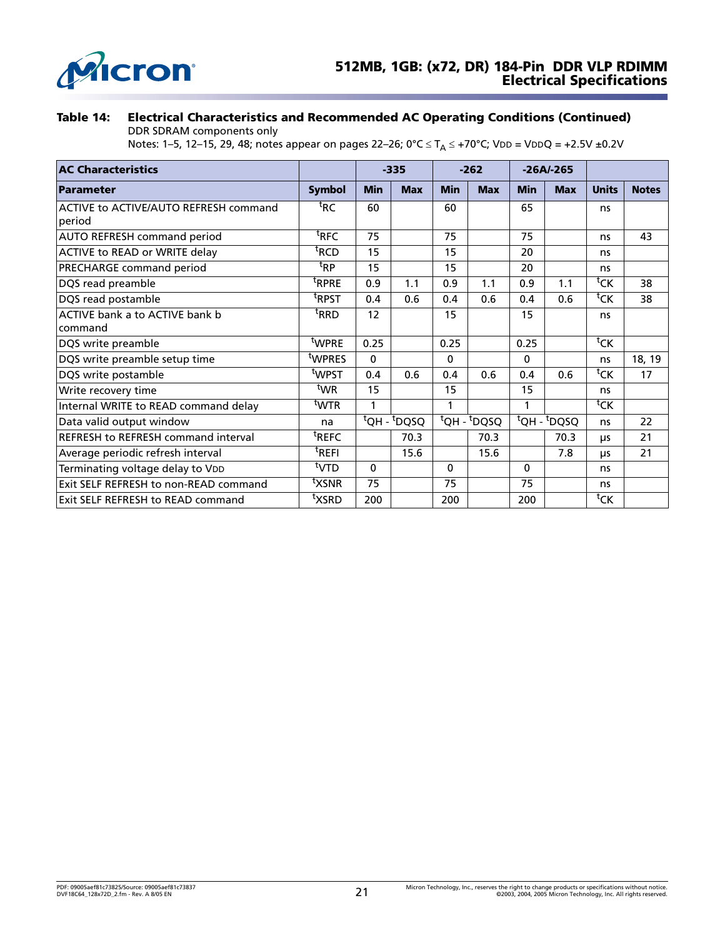

**Table 14: Electrical Characteristics and Recommended AC Operating Conditions (Continued)**

DDR SDRAM components only

Notes: 1–5, 12–15, 29, 48; notes appear on pages 22–26; 0°C ≤ T<sub>A</sub> ≤ +70°C; VDD = VDDQ = +2.5V ±0.2V

| <b>AC Characteristics</b>                       |                    |            | $-335$                   |            | $-262$                       |                                     | $-26A/-265$ |                    |              |
|-------------------------------------------------|--------------------|------------|--------------------------|------------|------------------------------|-------------------------------------|-------------|--------------------|--------------|
| <b>Parameter</b>                                | <b>Symbol</b>      | <b>Min</b> | <b>Max</b>               | <b>Min</b> | <b>Max</b>                   | <b>Min</b>                          | <b>Max</b>  | <b>Units</b>       | <b>Notes</b> |
| ACTIVE to ACTIVE/AUTO REFRESH command<br>period | <sup>t</sup> RC    | 60         |                          | 60         |                              | 65                                  |             | ns                 |              |
| <b>AUTO REFRESH command period</b>              | <sup>t</sup> RFC   | 75         |                          | 75         |                              | 75                                  |             | ns                 | 43           |
| ACTIVE to READ or WRITE delay                   | <sup>t</sup> RCD   | 15         |                          | 15         |                              | 20                                  |             | ns                 |              |
| PRECHARGE command period                        | <sup>t</sup> RP    | 15         |                          | 15         |                              | 20                                  |             | ns                 |              |
| DQS read preamble                               | <sup>t</sup> RPRE  | 0.9        | 1.1                      | 0.9        | 1.1                          | 0.9                                 | 1.1         | ${}^{\text{t}}$ CK | 38           |
| DQS read postamble                              | <sup>t</sup> RPST  | 0.4        | 0.6                      | 0.4        | 0.6                          | 0.4                                 | 0.6         | ${}^{\text{t}}$ CK | 38           |
| ACTIVE bank a to ACTIVE bank b                  | <sup>t</sup> RRD   | 12         |                          | 15         |                              | 15                                  |             | ns                 |              |
| command                                         |                    |            |                          |            |                              |                                     |             |                    |              |
| DQS write preamble                              | twpre              | 0.25       |                          | 0.25       |                              | 0.25                                |             | ${}^{\text{t}}$ CK |              |
| DQS write preamble setup time                   | t <sub>WPRES</sub> | $\Omega$   |                          | 0          |                              | $\Omega$                            |             | ns                 | 18, 19       |
| DQS write postamble                             | <sup>t</sup> WPST  | 0.4        | 0.6                      | 0.4        | 0.6                          | 0.4                                 | 0.6         | ${}^{\sf t}$ CK    | 17           |
| Write recovery time                             | <sup>t</sup> WR    | 15         |                          | 15         |                              | 15                                  |             | ns                 |              |
| Internal WRITE to READ command delay            | <sup>t</sup> WTR   | 1          |                          | 1          |                              | 1                                   |             | $\overline{c}$     |              |
| Data valid output window                        | na                 |            | $\overline{tQ}H - tDQSQ$ |            | $\overline{t}$ QH - $t$ DQSQ | <sup>t</sup> QH - <sup>t</sup> DQSQ |             | ns                 | 22           |
| <b>REFRESH to REFRESH command interval</b>      | <sup>t</sup> REFC  |            | 70.3                     |            | 70.3                         |                                     | 70.3        | μs                 | 21           |
| Average periodic refresh interval               | <sup>t</sup> REFI  |            | 15.6                     |            | 15.6                         |                                     | 7.8         | μs                 | 21           |
| Terminating voltage delay to VDD                | <sup>t</sup> VTD   | $\Omega$   |                          | $\Omega$   |                              | $\Omega$                            |             | ns                 |              |
| Exit SELF REFRESH to non-READ command           | txsnR              | 75         |                          | 75         |                              | 75                                  |             | ns                 |              |
| Exit SELF REFRESH to READ command               | <sup>t</sup> XSRD  | 200        |                          | 200        |                              | 200                                 |             | ${}^{\text{t}}$ CK |              |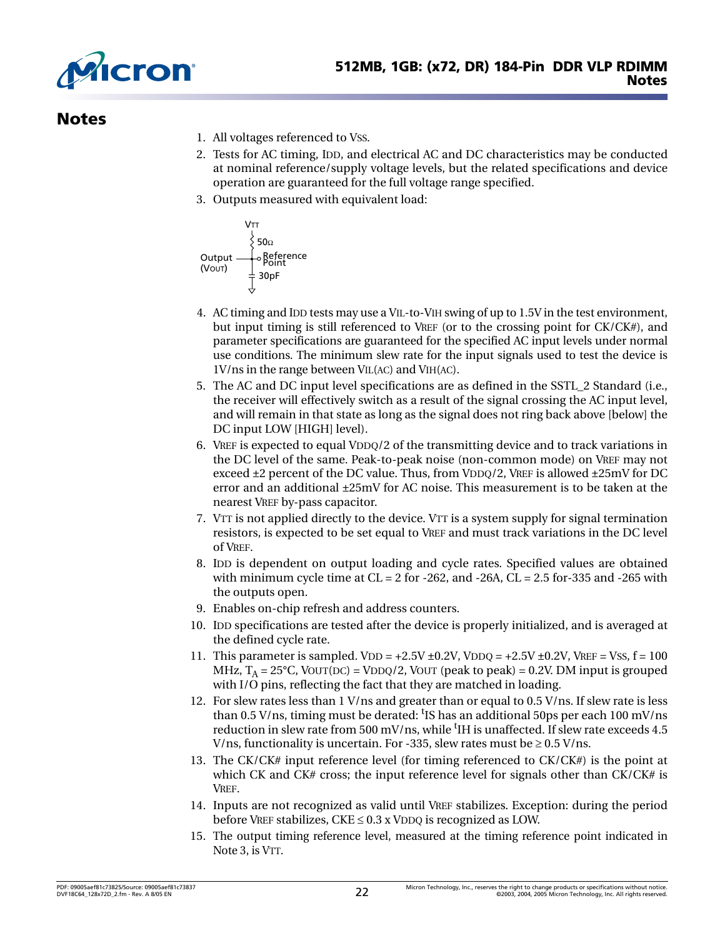

### <span id="page-21-11"></span><span id="page-21-3"></span><span id="page-21-0"></span>**Notes**

- 1. All voltages referenced to VSS.
- 2. Tests for AC timing, IDD, and electrical AC and DC characteristics may be conducted at nominal reference/supply voltage levels, but the related specifications and device operation are guaranteed for the full voltage range specified.
- 3. Outputs measured with equivalent load:



- 4. AC timing and IDD tests may use a VIL-to-VIH swing of up to 1.5V in the test environment, but input timing is still referenced to VREF (or to the crossing point for CK/CK#), and parameter specifications are guaranteed for the specified AC input levels under normal use conditions. The minimum slew rate for the input signals used to test the device is 1V/ns in the range between VIL(AC) and VIH(AC).
- <span id="page-21-4"></span>5. The AC and DC input level specifications are as defined in the SSTL\_2 Standard (i.e., the receiver will effectively switch as a result of the signal crossing the AC input level, and will remain in that state as long as the signal does not ring back above [below] the DC input LOW [HIGH] level).
- <span id="page-21-1"></span>6. VREF is expected to equal VDDQ/2 of the transmitting device and to track variations in the DC level of the same. Peak-to-peak noise (non-common mode) on VREF may not exceed  $\pm 2$  percent of the DC value. Thus, from VDDQ/2, VREF is allowed  $\pm 25$ mV for DC error and an additional ±25mV for AC noise. This measurement is to be taken at the nearest VREF by-pass capacitor.
- <span id="page-21-2"></span>7. VTT is not applied directly to the device. VTT is a system supply for signal termination resistors, is expected to be set equal to VREF and must track variations in the DC level of VREF.
- <span id="page-21-7"></span>8. IDD is dependent on output loading and cycle rates. Specified values are obtained with minimum cycle time at  $CL = 2$  for -262, and -26A,  $CL = 2.5$  for-335 and -265 with the outputs open.
- 9. Enables on-chip refresh and address counters.
- <span id="page-21-8"></span><span id="page-21-6"></span>10. IDD specifications are tested after the device is properly initialized, and is averaged at the defined cycle rate.
- <span id="page-21-10"></span>11. This parameter is sampled.  $VDD = +2.5V \pm 0.2V$ ,  $VDDQ = +2.5V \pm 0.2V$ ,  $VREF = VSS$ ,  $f = 100$ MHz,  $T_A = 25^{\circ}$ C, VOUT(DC) = VDDQ/2, VOUT (peak to peak) = 0.2V. DM input is grouped with I/O pins, reflecting the fact that they are matched in loading.
- 12. For slew rates less than 1 V/ns and greater than or equal to 0.5 V/ns. If slew rate is less than 0.5 V/ns, timing must be derated: <sup>t</sup>IS has an additional 50ps per each 100 mV/ns reduction in slew rate from 500 mV/ns, while <sup>t</sup>IH is unaffected. If slew rate exceeds 4.5 V/ns, functionality is uncertain. For -335, slew rates must be  $\geq 0.5$  V/ns.
- 13. The CK/CK# input reference level (for timing referenced to CK/CK#) is the point at which CK and CK# cross; the input reference level for signals other than CK/CK# is VREF.
- <span id="page-21-5"></span>14. Inputs are not recognized as valid until VREF stabilizes. Exception: during the period before VREF stabilizes,  $CKE \leq 0.3$  x VDDQ is recognized as LOW.
- <span id="page-21-9"></span>15. The output timing reference level, measured at the timing reference point indicated in Note [3,](#page-21-11) is VTT.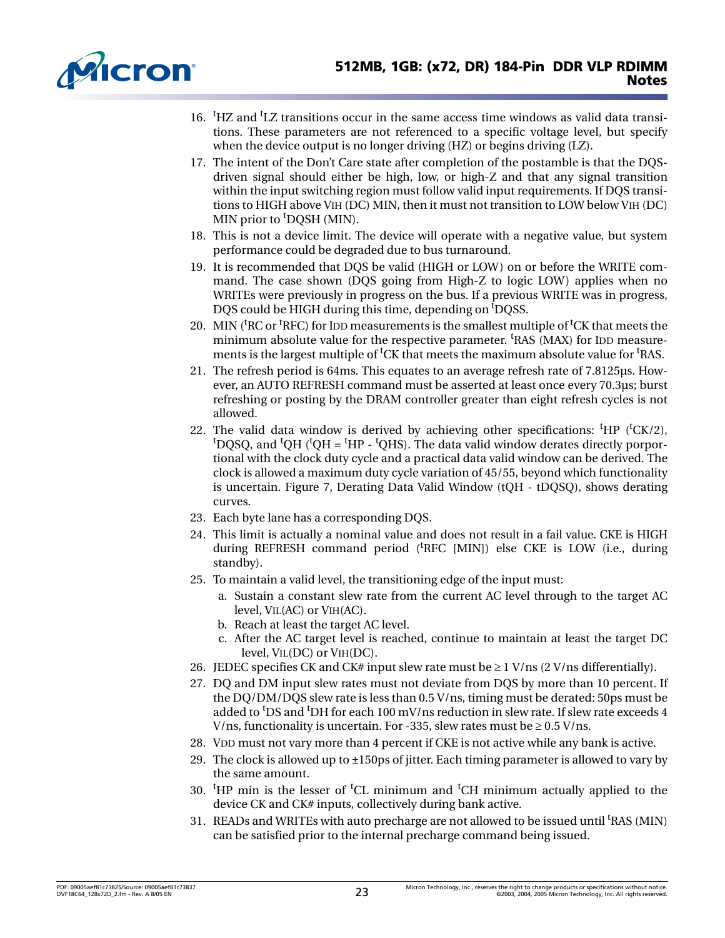<span id="page-22-10"></span>

- 16. <sup>t</sup>HZ and <sup>t</sup>LZ transitions occur in the same access time windows as valid data transitions. These parameters are not referenced to a specific voltage level, but specify when the device output is no longer driving (HZ) or begins driving (LZ).
- 17. The intent of the Don't Care state after completion of the postamble is that the DQSdriven signal should either be high, low, or high-Z and that any signal transition within the input switching region must follow valid input requirements. If DQS transitions to HIGH above VIH (DC) MIN, then it must not transition to LOW below VIH (DC) MIN prior to <sup>t</sup>DQSH (MIN).
- <span id="page-22-12"></span>18. This is not a device limit. The device will operate with a negative value, but system performance could be degraded due to bus turnaround.
- <span id="page-22-13"></span>19. It is recommended that DQS be valid (HIGH or LOW) on or before the WRITE command. The case shown (DQS going from High-Z to logic LOW) applies when no WRITEs were previously in progress on the bus. If a previous WRITE was in progress, DQS could be HIGH during this time, depending on <sup>t</sup>DQSS.
- <span id="page-22-1"></span>20. MIN ( ${}^{\text{t}}$ RC or  ${}^{\text{t}}$ RFC) for IDD measurements is the smallest multiple of  ${}^{\text{t}}$ CK that meets the minimum absolute value for the respective parameter. <sup>t</sup>RAS (MAX) for IDD measurements is the largest multiple of <sup>t</sup>CK that meets the maximum absolute value for <sup>t</sup>RAS.
- 21. The refresh period is 64ms. This equates to an average refresh rate of 7.8125µs. However, an AUTO REFRESH command must be asserted at least once every 70.3µs; burst refreshing or posting by the DRAM controller greater than eight refresh cycles is not allowed.
- <span id="page-22-8"></span>22. The valid data window is derived by achieving other specifications:  ${}^t$ HP ( ${}^t$ CK/2), <sup>t</sup>DQSQ, and <sup>t</sup>QH (<sup>t</sup>QH = <sup>t</sup>HP - <sup>t</sup>QHS). The data valid window derates directly porportional with the clock duty cycle and a practical data valid window can be derived. The clock is allowed a maximum duty cycle variation of 45/55, beyond which functionality is uncertain. [Figure 7, Derating Data Valid Window \(tQH - tDQSQ\),](#page-23-0) shows derating curves.
- <span id="page-22-6"></span>23. Each byte lane has a corresponding DQS.
- <span id="page-22-3"></span>24. This limit is actually a nominal value and does not result in a fail value. CKE is HIGH during REFRESH command period ('RFC [MIN]) else CKE is LOW (i.e., during standby).
- <span id="page-22-0"></span>25. To maintain a valid level, the transitioning edge of the input must:
	- a. Sustain a constant slew rate from the current AC level through to the target AC level, VIL(AC) or VIH(AC).
	- b. Reach at least the target AC level.
	- c. After the AC target level is reached, continue to maintain at least the target DC level, VIL(DC) or VIH(DC).
- <span id="page-22-5"></span>26. JEDEC specifies CK and CK# input slew rate must be  $\geq 1$  V/ns (2 V/ns differentially).
- <span id="page-22-7"></span>27. DQ and DM input slew rates must not deviate from DQS by more than 10 percent. If the DQ/DM/DQS slew rate is less than 0.5 V/ns, timing must be derated: 50ps must be added to <sup>t</sup>DS and <sup>t</sup>DH for each 100 mV/ns reduction in slew rate. If slew rate exceeds 4 V/ns, functionality is uncertain. For -335, slew rates must be  $\geq 0.5$  V/ns.
- <span id="page-22-2"></span>28. VDD must not vary more than 4 percent if CKE is not active while any bank is active.
- <span id="page-22-4"></span>29. The clock is allowed up to  $\pm 150$  ps of jitter. Each timing parameter is allowed to vary by the same amount.
- <span id="page-22-9"></span>30. <sup>t</sup>HP min is the lesser of <sup>t</sup>CL minimum and <sup>t</sup>CH minimum actually applied to the device CK and CK# inputs, collectively during bank active.
- <span id="page-22-11"></span>31. READs and WRITEs with auto precharge are not allowed to be issued until <sup>t</sup>RAS (MIN) can be satisfied prior to the internal precharge command being issued.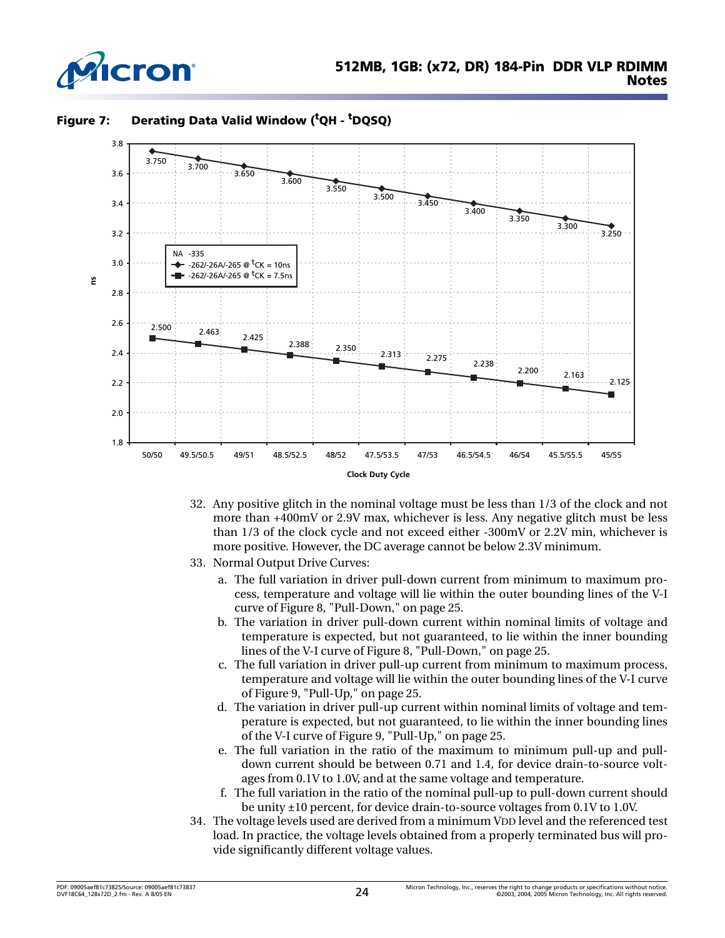



<span id="page-23-0"></span>**Figure 7: Derating Data Valid Window (t QH - t DQSQ)**

- 32. Any positive glitch in the nominal voltage must be less than 1/3 of the clock and not more than +400mV or 2.9V max, whichever is less. Any negative glitch must be less than 1/3 of the clock cycle and not exceed either -300mV or 2.2V min, whichever is more positive. However, the DC average cannot be below 2.3V minimum.
- <span id="page-23-1"></span>33. Normal Output Drive Curves:
	- a. The full variation in driver pull-down current from minimum to maximum process, temperature and voltage will lie within the outer bounding lines of the V-I curve of [Figure 8, "Pull-Down," on page 25](#page-24-0).
	- b. The variation in driver pull-down current within nominal limits of voltage and temperature is expected, but not guaranteed, to lie within the inner bounding lines of the V-I curve of [Figure 8, "Pull-Down," on page 25](#page-24-0).
	- c. The full variation in driver pull-up current from minimum to maximum process, temperature and voltage will lie within the outer bounding lines of the V-I curve of [Figure 9, "Pull-Up," on page 25.](#page-24-1)
	- d. The variation in driver pull-up current within nominal limits of voltage and temperature is expected, but not guaranteed, to lie within the inner bounding lines of the V-I curve of [Figure 9, "Pull-Up," on page 25.](#page-24-1)
	- e. The full variation in the ratio of the maximum to minimum pull-up and pulldown current should be between 0.71 and 1.4, for device drain-to-source voltages from 0.1V to 1.0V, and at the same voltage and temperature.
	- f. The full variation in the ratio of the nominal pull-up to pull-down current should be unity ±10 percent, for device drain-to-source voltages from 0.1V to 1.0V.
- <span id="page-23-2"></span>34. The voltage levels used are derived from a minimum VDD level and the referenced test load. In practice, the voltage levels obtained from a properly terminated bus will provide significantly different voltage values.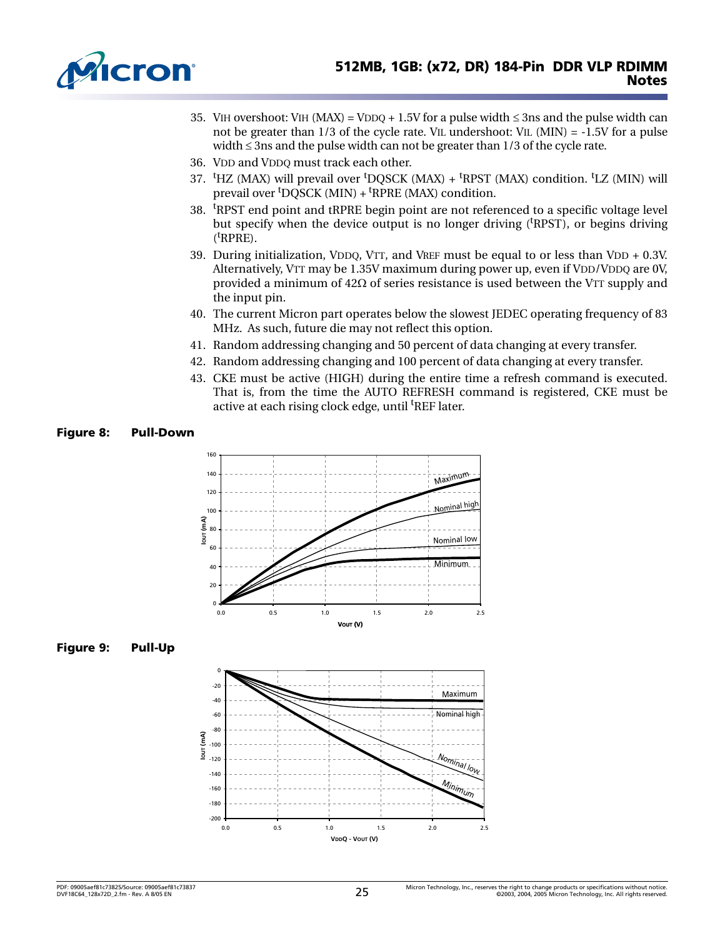<span id="page-24-5"></span><span id="page-24-4"></span><span id="page-24-2"></span>

- 35. VIH overshoot: VIH (MAX) = VDDQ + 1.5V for a pulse width  $\leq$  3ns and the pulse width can not be greater than  $1/3$  of the cycle rate. VIL undershoot: VIL (MIN) =  $-1.5V$  for a pulse width ≤ 3ns and the pulse width can not be greater than 1/3 of the cycle rate.
- 36. VDD and VDDQ must track each other.
- 37. <sup>t</sup>HZ (MAX) will prevail over <sup>t</sup>DQSCK (MAX) + <sup>t</sup>RPST (MAX) condition. <sup>t</sup>LZ (MIN) will prevail over <sup>t</sup>DQSCK (MIN) + <sup>t</sup>RPRE (MAX) condition.
- 38. <sup>t</sup>RPST end point and tRPRE begin point are not referenced to a specific voltage level but specify when the device output is no longer driving ('RPST), or begins driving (t<sub>RPRE)</sub>.
- <span id="page-24-3"></span>39. During initialization, VDDQ, VTT, and VREF must be equal to or less than VDD + 0.3V. Alternatively, VTT may be 1.35V maximum during power up, even if VDD/VDDQ are 0V, provided a minimum of  $42\Omega$  of series resistance is used between the VTT supply and the input pin.
- 40. The current Micron part operates below the slowest JEDEC operating frequency of 83 MHz. As such, future die may not reflect this option.
- 41. Random addressing changing and 50 percent of data changing at every transfer.
- 42. Random addressing changing and 100 percent of data changing at every transfer.
- 43. CKE must be active (HIGH) during the entire time a refresh command is executed. That is, from the time the AUTO REFRESH command is registered, CKE must be active at each rising clock edge, until <sup>t</sup>REF later.

#### <span id="page-24-0"></span>**Figure 8: Pull-Down**



<span id="page-24-1"></span>

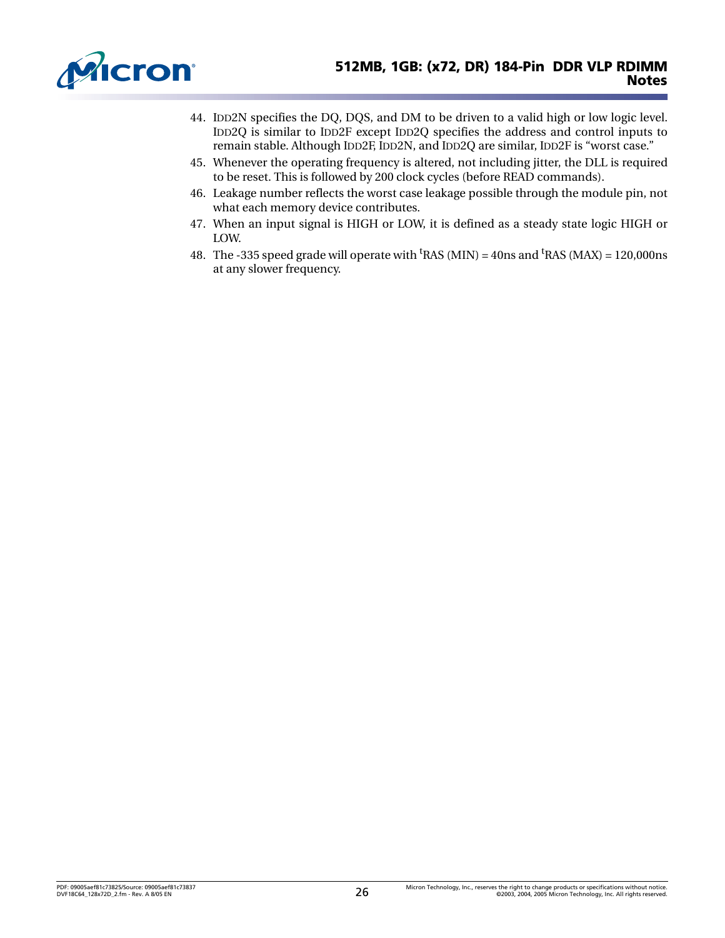<span id="page-25-2"></span><span id="page-25-1"></span>

- 44. IDD2N specifies the DQ, DQS, and DM to be driven to a valid high or low logic level. IDD2Q is similar to IDD2F except IDD2Q specifies the address and control inputs to remain stable. Although IDD2F, IDD2N, and IDD2Q are similar, IDD2F is "worst case."
- 45. Whenever the operating frequency is altered, not including jitter, the DLL is required to be reset. This is followed by 200 clock cycles (before READ commands).
- 46. Leakage number reflects the worst case leakage possible through the module pin, not what each memory device contributes.
- 47. When an input signal is HIGH or LOW, it is defined as a steady state logic HIGH or LOW.
- <span id="page-25-0"></span>48. The -335 speed grade will operate with  $\mathrm{^{t}RAS}$  (MIN) = 40ns and  $\mathrm{^{t}RAS}$  (MAX) = 120,000ns at any slower frequency.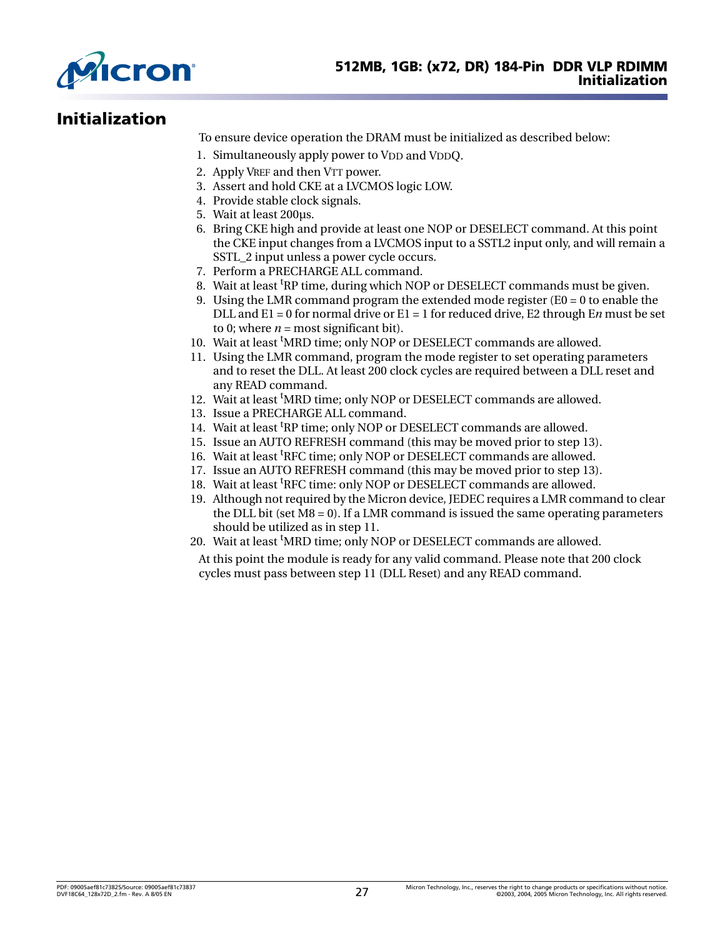

# <span id="page-26-0"></span>**Initialization**

To ensure device operation the DRAM must be initialized as described below:

- 1. Simultaneously apply power to VDD and VDDQ.
- 2. Apply VREF and then VTT power.
- 3. Assert and hold CKE at a LVCMOS logic LOW.
- 4. Provide stable clock signals.
- 5. Wait at least 200µs.
- 6. Bring CKE high and provide at least one NOP or DESELECT command. At this point the CKE input changes from a LVCMOS input to a SSTL2 input only, and will remain a SSTL 2 input unless a power cycle occurs.
- 7. Perform a PRECHARGE ALL command.
- 8. Wait at least <sup>t</sup>RP time, during which NOP or DESELECT commands must be given.
- 9. Using the LMR command program the extended mode register  $(ED = 0$  to enable the DLL and E1 = 0 for normal drive or E1 = 1 for reduced drive, E2 through E*n* must be set to 0; where  $n =$  most significant bit).
- 10. Wait at least 'MRD time; only NOP or DESELECT commands are allowed.
- 11. Using the LMR command, program the mode register to set operating parameters and to reset the DLL. At least 200 clock cycles are required between a DLL reset and any READ command.
- 12. Wait at least 'MRD time; only NOP or DESELECT commands are allowed.
- 13. Issue a PRECHARGE ALL command.
- 14. Wait at least <sup>t</sup>RP time; only NOP or DESELECT commands are allowed.
- 15. Issue an AUTO REFRESH command (this may be moved prior to step 13).
- 16. Wait at least <sup>t</sup>RFC time; only NOP or DESELECT commands are allowed.
- 17. Issue an AUTO REFRESH command (this may be moved prior to step 13).
- 18. Wait at least <sup>t</sup>RFC time: only NOP or DESELECT commands are allowed.
- 19. Although not required by the Micron device, JEDEC requires a LMR command to clear the DLL bit (set  $M8 = 0$ ). If a LMR command is issued the same operating parameters should be utilized as in step 11.
- 20. Wait at least <sup>t</sup>MRD time; only NOP or DESELECT commands are allowed.
	- At this point the module is ready for any valid command. Please note that 200 clock cycles must pass between step 11 (DLL Reset) and any READ command.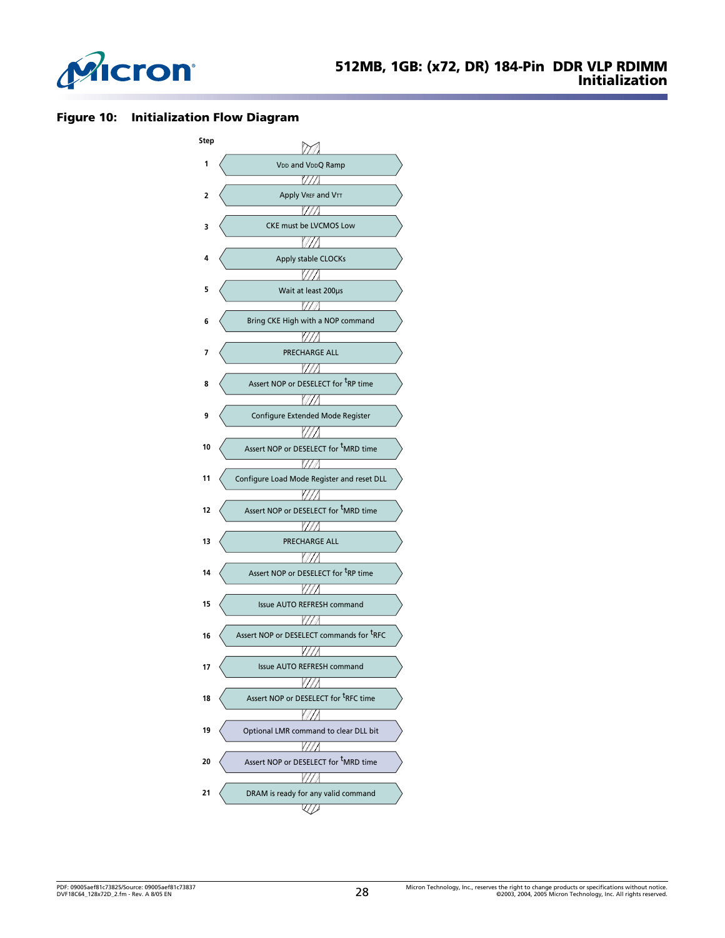

#### <span id="page-27-0"></span>**Figure 10: Initialization Flow Diagram**

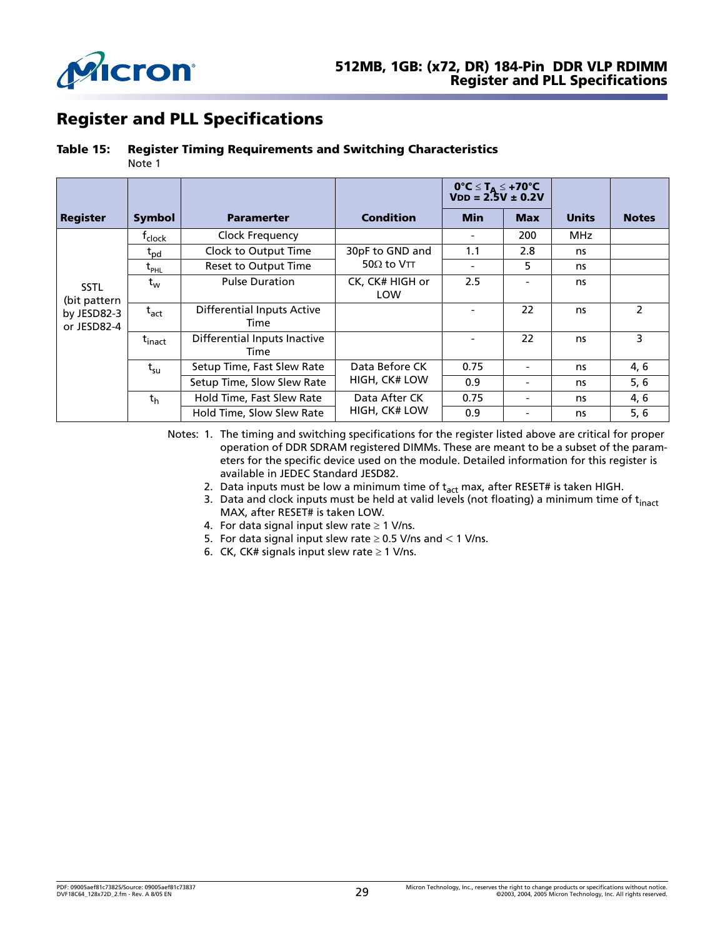

# <span id="page-28-0"></span>**Register and PLL Specifications**

#### <span id="page-28-1"></span>**Table 15: Register Timing Requirements and Switching Characteristics**

Note [1](#page-28-2)

|                             |                               |                                           |                        | $0^{\circ}C \leq T_A \leq +70^{\circ}C$<br>$VDD = 2.5V \pm 0.2V$ |                          |              |               |
|-----------------------------|-------------------------------|-------------------------------------------|------------------------|------------------------------------------------------------------|--------------------------|--------------|---------------|
| <b>Register</b>             | <b>Symbol</b>                 | <b>Paramerter</b>                         | <b>Condition</b>       | <b>Min</b>                                                       | <b>Max</b>               | <b>Units</b> | <b>Notes</b>  |
|                             | <sup>t</sup> clock            | Clock Frequency                           |                        |                                                                  | 200                      | MHz.         |               |
|                             | $\tau_{\text{pd}}$            | Clock to Output Time                      | 30pF to GND and        | 1.1                                                              | 2.8                      | ns           |               |
|                             | $\bm{{\mathsf{t}}}_{\sf PHL}$ | Reset to Output Time                      | 50 $\Omega$ to VTT     |                                                                  | 5                        | ns           |               |
| <b>SSTL</b><br>(bit pattern | $t_{w}$                       | <b>Pulse Duration</b>                     | CK, CK# HIGH or<br>LOW | 2.5                                                              | $\overline{\phantom{a}}$ | ns           |               |
| by JESD82-3<br>or JESD82-4  | $t_{\sf act}$                 | <b>Differential Inputs Active</b><br>Time |                        |                                                                  | 22                       | ns           | $\mathcal{P}$ |
|                             | $t_{\text{inact}}$            | Differential Inputs Inactive<br>Time      |                        |                                                                  | 22                       | ns           | 3             |
|                             | $t_{\rm su}$                  | Setup Time, Fast Slew Rate                | Data Before CK         | 0.75                                                             | $\overline{\phantom{0}}$ | ns           | 4, 6          |
|                             |                               | Setup Time, Slow Slew Rate                | HIGH, CK# LOW          | 0.9                                                              | $\overline{\phantom{a}}$ | ns           | $5,6$         |
|                             | th                            | Hold Time, Fast Slew Rate                 | Data After CK          | 0.75                                                             | $\overline{\phantom{0}}$ | ns           | 4, 6          |
|                             |                               | Hold Time, Slow Slew Rate                 | HIGH, CK# LOW          | 0.9                                                              |                          | ns           | 5, 6          |

<span id="page-28-5"></span><span id="page-28-4"></span><span id="page-28-3"></span><span id="page-28-2"></span>Notes: 1. The timing and switching specifications for the register listed above are critical for proper operation of DDR SDRAM registered DIMMs. These are meant to be a subset of the parameters for the specific device used on the module. Detailed information for this register is available in JEDEC Standard JESD82.

- 2. Data inputs must be low a minimum time of  $t_{act}$  max, after RESET# is taken HIGH.
- 3. Data and clock inputs must be held at valid levels (not floating) a minimum time of  $t_{\text{inact}}$ MAX, after RESET# is taken LOW.
- 4. For data signal input slew rate  $\geq 1$  V/ns.
- <span id="page-28-7"></span>5. For data signal input slew rate  $\geq$  0.5 V/ns and < 1 V/ns.
- <span id="page-28-6"></span>6. CK, CK# signals input slew rate  $\geq 1$  V/ns.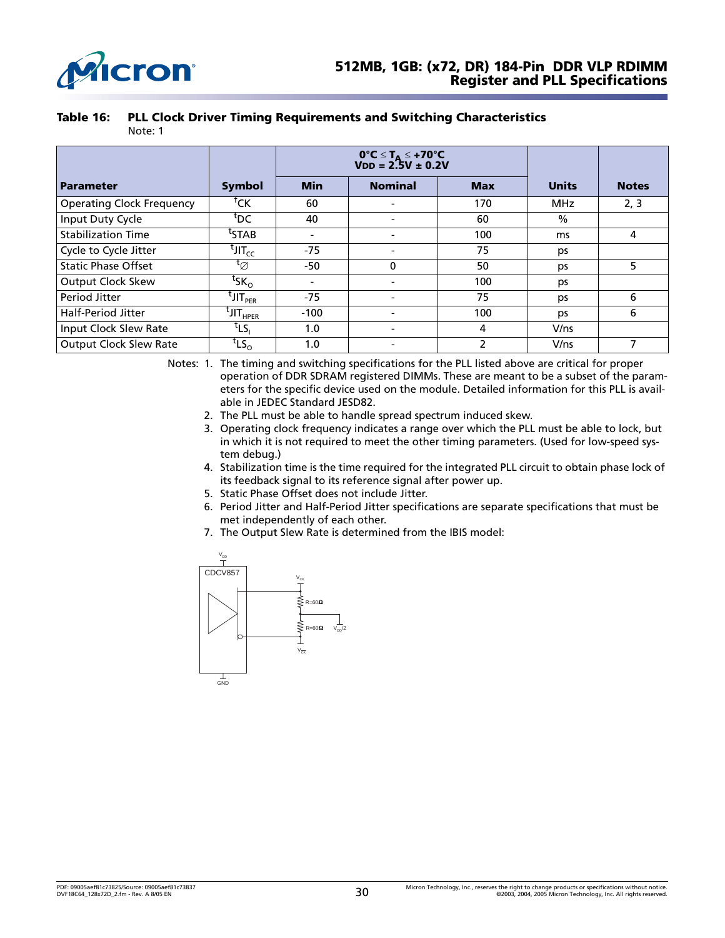

<span id="page-29-0"></span>

|  | Table 16: PLL Clock Driver Timing Requirements and Switching Characteristics |
|--|------------------------------------------------------------------------------|
|--|------------------------------------------------------------------------------|

|                                  |                                        | $0^{\circ}C \le T_A \le +70^{\circ}C$<br>VDD = 2.5V ± 0.2V |          |       |              |      |
|----------------------------------|----------------------------------------|------------------------------------------------------------|----------|-------|--------------|------|
| <b>Parameter</b>                 | <b>Symbol</b>                          | <b>Min</b><br><b>Nominal</b><br><b>Max</b>                 |          | Units | <b>Notes</b> |      |
| <b>Operating Clock Frequency</b> | <sup>†</sup> CK                        | 60                                                         |          | 170   | <b>MHz</b>   | 2, 3 |
| Input Duty Cycle                 | tdc                                    | 40                                                         |          | 60    | $\%$         |      |
| <b>Stabilization Time</b>        | <sup>t</sup> STAB                      | $\overline{\phantom{0}}$                                   |          | 100   | ms           | 4    |
| Cycle to Cycle Jitter            | $t$ יונ $T_{cc}$                       | -75                                                        |          | 75    | ps           |      |
| <b>Static Phase Offset</b>       | $\mathfrak{r}_\varnothing$             | $-50$                                                      | $\Omega$ | 50    | ps           | 5    |
| <b>Output Clock Skew</b>         | $\mathsf{t}_{\mathsf{SK}_\Omega}$      | $\overline{\phantom{0}}$                                   |          | 100   | ps           |      |
| Period Jitter                    | $^{\mathfrak c}$ JIT $_{\mathsf{PER}}$ | -75                                                        |          | 75    | ps           | 6    |
| <b>Half-Period Jitter</b>        | <sup>t</sup> JIT <sub>HPER</sub>       | $-100$                                                     |          | 100   | ps           | 6    |
| Input Clock Slew Rate            | $t_{LS_1}$                             | 1.0                                                        |          | 4     | V/ns         |      |
| <b>Output Clock Slew Rate</b>    | $t_{LS_{\rm O}}$                       | 1.0                                                        |          | 2     | V/ns         |      |

Note: [1](#page-29-1)

<span id="page-29-3"></span><span id="page-29-2"></span><span id="page-29-1"></span>Notes: 1. The timing and switching specifications for the PLL listed above are critical for proper operation of DDR SDRAM registered DIMMs. These are meant to be a subset of the parameters for the specific device used on the module. Detailed information for this PLL is available in JEDEC Standard JESD82.

- 2. The PLL must be able to handle spread spectrum induced skew.
- 3. Operating clock frequency indicates a range over which the PLL must be able to lock, but in which it is not required to meet the other timing parameters. (Used for low-speed system debug.)
- <span id="page-29-4"></span>4. Stabilization time is the time required for the integrated PLL circuit to obtain phase lock of its feedback signal to its reference signal after power up.
- 5. Static Phase Offset does not include Jitter.
- 6. Period Jitter and Half-Period Jitter specifications are separate specifications that must be met independently of each other.
- 7. The Output Slew Rate is determined from the IBIS model:

<span id="page-29-7"></span><span id="page-29-6"></span><span id="page-29-5"></span>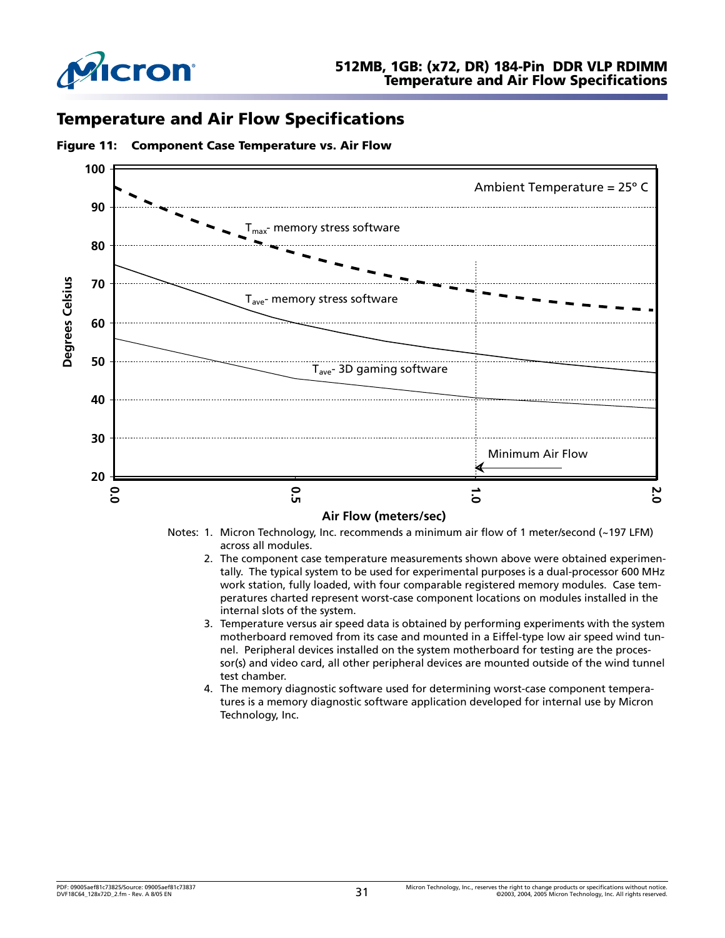

## <span id="page-30-0"></span>**Temperature and Air Flow Specifications**



#### <span id="page-30-1"></span>**Figure 11: Component Case Temperature vs. Air Flow**

Notes: 1. Micron Technology, Inc. recommends a minimum air flow of 1 meter/second (~197 LFM) across all modules.

- 2. The component case temperature measurements shown above were obtained experimentally. The typical system to be used for experimental purposes is a dual-processor 600 MHz work station, fully loaded, with four comparable registered memory modules. Case temperatures charted represent worst-case component locations on modules installed in the internal slots of the system.
- 3. Temperature versus air speed data is obtained by performing experiments with the system motherboard removed from its case and mounted in a Eiffel-type low air speed wind tunnel. Peripheral devices installed on the system motherboard for testing are the processor(s) and video card, all other peripheral devices are mounted outside of the wind tunnel test chamber.
- 4. The memory diagnostic software used for determining worst-case component temperatures is a memory diagnostic software application developed for internal use by Micron Technology, Inc.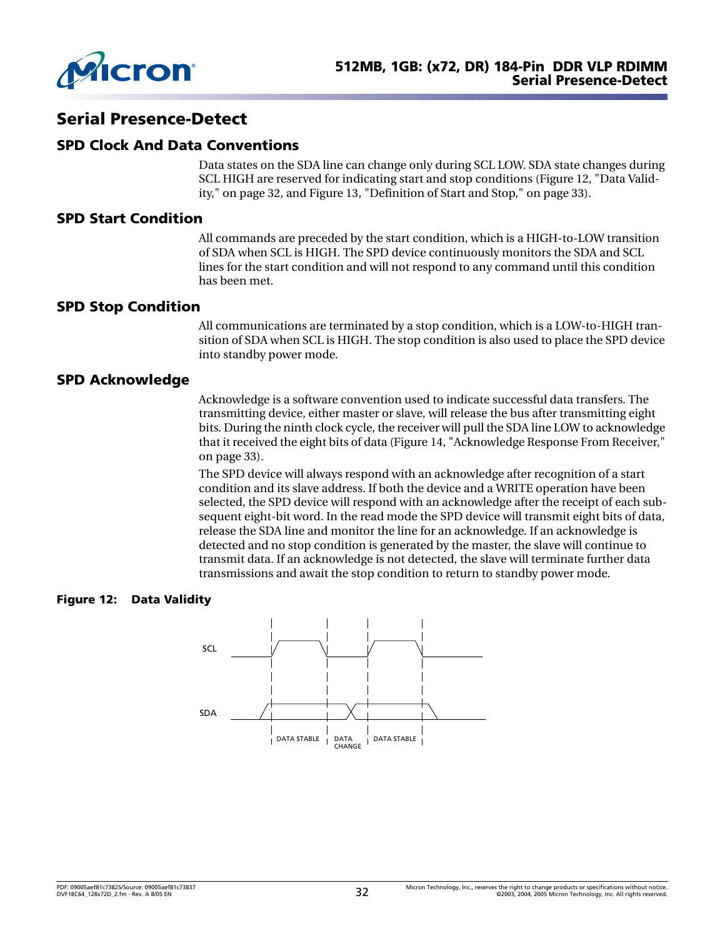

## <span id="page-31-0"></span>**Serial Presence-Detect**

### <span id="page-31-1"></span>**SPD Clock And Data Conventions**

Data states on the SDA line can change only during SCL LOW. SDA state changes during SCL HIGH are reserved for indicating start and stop conditions ([Figure 12, "Data Valid](#page-31-5)[ity," on page 32,](#page-31-5) and [Figure 13, "Definition of Start and Stop," on page 33](#page-32-0)).

#### <span id="page-31-2"></span>**SPD Start Condition**

All commands are preceded by the start condition, which is a HIGH-to-LOW transition of SDA when SCL is HIGH. The SPD device continuously monitors the SDA and SCL lines for the start condition and will not respond to any command until this condition has been met.

#### <span id="page-31-3"></span>**SPD Stop Condition**

All communications are terminated by a stop condition, which is a LOW-to-HIGH transition of SDA when SCL is HIGH. The stop condition is also used to place the SPD device into standby power mode.

### <span id="page-31-4"></span>**SPD Acknowledge**

Acknowledge is a software convention used to indicate successful data transfers. The transmitting device, either master or slave, will release the bus after transmitting eight bits. During the ninth clock cycle, the receiver will pull the SDA line LOW to acknowledge that it received the eight bits of data ([Figure 14, "Acknowledge Response From Receiver,"](#page-32-1)  [on page 33\)](#page-32-1).

The SPD device will always respond with an acknowledge after recognition of a start condition and its slave address. If both the device and a WRITE operation have been selected, the SPD device will respond with an acknowledge after the receipt of each subsequent eight-bit word. In the read mode the SPD device will transmit eight bits of data, release the SDA line and monitor the line for an acknowledge. If an acknowledge is detected and no stop condition is generated by the master, the slave will continue to transmit data. If an acknowledge is not detected, the slave will terminate further data transmissions and await the stop condition to return to standby power mode.

#### <span id="page-31-5"></span>**Figure 12: Data Validity**

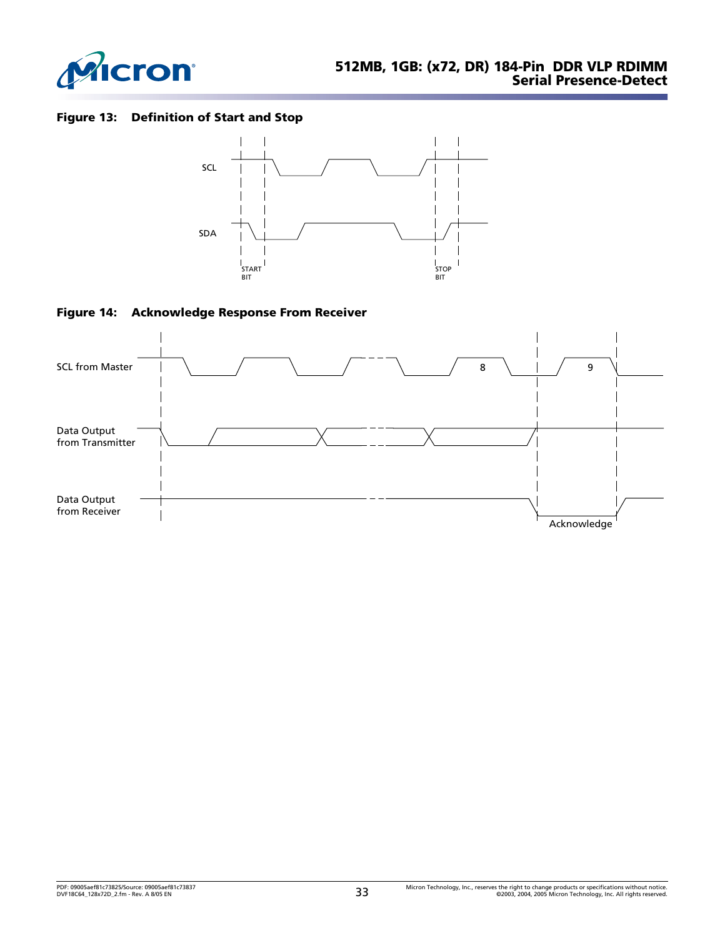

### <span id="page-32-0"></span>**Figure 13: Definition of Start and Stop**



<span id="page-32-1"></span>

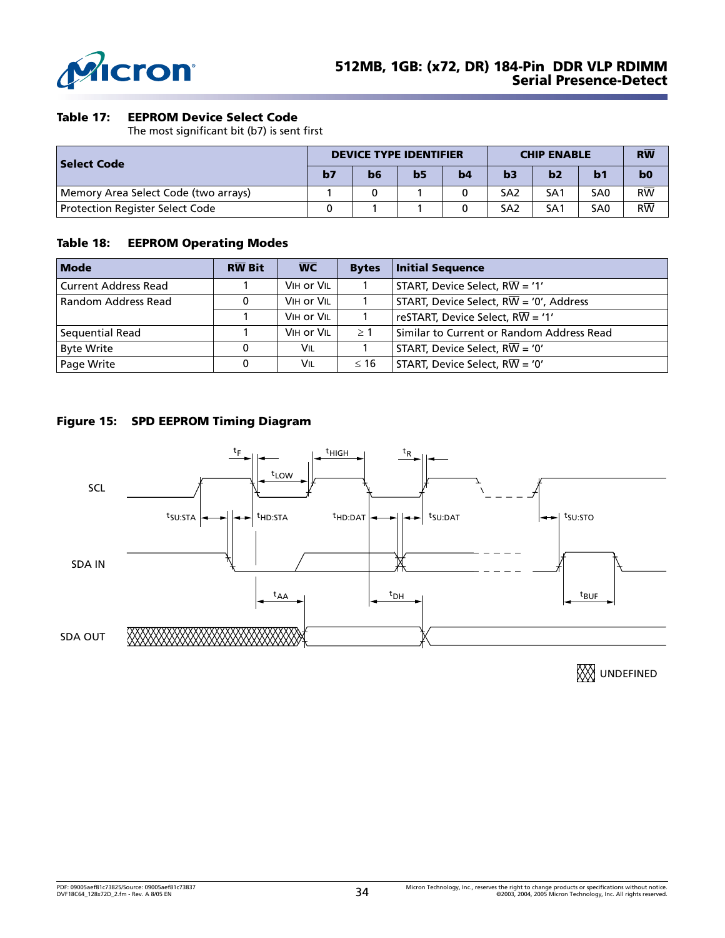

#### <span id="page-33-1"></span>**Table 17: EEPROM Device Select Code**

The most significant bit (b7) is sent first

| <b>Select Code</b>                     |  | <b>DEVICE TYPE IDENTIFIER</b> |                |    |                 | <b>CHIP ENABLE</b> |                 |                        |
|----------------------------------------|--|-------------------------------|----------------|----|-----------------|--------------------|-----------------|------------------------|
|                                        |  | b6                            | b <sub>5</sub> | b4 | b3              | b2                 | b1              | b <sub>0</sub>         |
| Memory Area Select Code (two arrays)   |  |                               |                |    | SA <sub>2</sub> | SA <sub>1</sub>    | SA <sub>0</sub> | $R\overline{W}$        |
| <b>Protection Register Select Code</b> |  |                               |                |    | SA2             | SA <sub>1</sub>    | SA <sub>0</sub> | $\overline{\text{RW}}$ |

#### <span id="page-33-2"></span>**Table 18: EEPROM Operating Modes**

| <b>Mode</b>                 | <b>RW Bit</b> | $\overline{WC}$ | <b>Bytes</b> | <b>Initial Sequence</b>                              |
|-----------------------------|---------------|-----------------|--------------|------------------------------------------------------|
| <b>Current Address Read</b> |               | VIH or VIL      |              | START, Device Select, $R\overline{W}$ = '1'          |
| Random Address Read         |               | VIH Or VIL      |              | START, Device Select, $R\overline{W}$ = '0', Address |
|                             |               | VIH or VIL      |              | reSTART, Device Select, $R\overline{W}$ = '1'        |
| Sequential Read             |               | VIH or VIL      | >1           | Similar to Current or Random Address Read            |
| <b>Byte Write</b>           |               | VIL             |              | START, Device Select, $R\overline{W}$ = '0'          |
| Page Write                  |               | VIL             | $\leq 16$    | START, Device Select, $R\overline{W}$ = '0'          |

<span id="page-33-0"></span>



**XX**UNDEFINED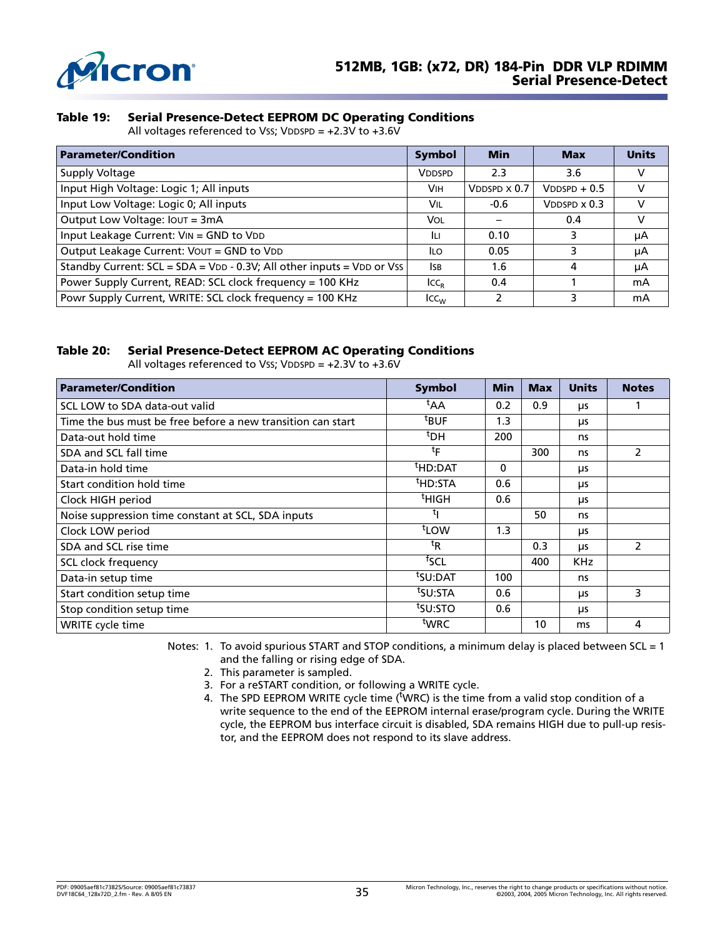

#### <span id="page-34-0"></span>**Table 19: Serial Presence-Detect EEPROM DC Operating Conditions**

All voltages referenced to Vss; VDDSPD = +2.3V to +3.6V

| <b>Parameter/Condition</b>                                             | Symbol           | <b>Min</b>             | <b>Max</b>             | <b>Units</b> |
|------------------------------------------------------------------------|------------------|------------------------|------------------------|--------------|
| Supply Voltage                                                         | <b>VDDSPD</b>    | 2.3                    | 3.6                    | v            |
| Input High Voltage: Logic 1; All inputs                                | <b>VIH</b>       | $V$ DDSPD $\times$ 0.7 | $V$ DDSPD + 0.5        | v            |
| Input Low Voltage: Logic 0; All inputs                                 | Vil              | $-0.6$                 | $V$ DDSPD $\times$ 0.3 | v            |
| Output Low Voltage: IOUT = 3mA                                         |                  |                        | 0.4                    | v            |
| Input Leakage Current: VIN = GND to VDD                                |                  | 0.10                   |                        | μA           |
| Output Leakage Current: VOUT = GND to VDD                              | ILO.             | 0.05                   |                        | μA           |
| Standby Current: SCL = SDA = VDD - 0.3V; All other inputs = VDD or Vss | <b>ISB</b>       | 1.6                    | 4                      | μA           |
| Power Supply Current, READ: SCL clock frequency = 100 KHz              | ICC <sub>B</sub> | 0.4                    |                        | mA           |
| Powr Supply Current, WRITE: SCL clock frequency = 100 KHz              | $ICC_{UV}$       | 2                      | 3                      | mA           |

#### <span id="page-34-1"></span>**Table 20: Serial Presence-Detect EEPROM AC Operating Conditions**

All voltages referenced to Vss; VDDSPD =  $+2.3V$  to  $+3.6V$ 

| <b>Parameter/Condition</b>                                  | <b>Symbol</b>       | <b>Min</b> | <b>Max</b> | <b>Units</b> | <b>Notes</b>  |
|-------------------------------------------------------------|---------------------|------------|------------|--------------|---------------|
| SCL LOW to SDA data-out valid                               | <sup>τ</sup> ΑΑ     | 0.2        | 0.9        | μs           |               |
| Time the bus must be free before a new transition can start | <sup>t</sup> BUF    | 1.3        |            | μs           |               |
| Data-out hold time                                          | <sup>t</sup> DH     | 200        |            | ns           |               |
| SDA and SCL fall time                                       | $t_{\mathsf{F}}$    |            | 300        | ns           | 2             |
| Data-in hold time                                           | <sup>t</sup> HD:DAT | $\Omega$   |            | μs           |               |
| Start condition hold time                                   | <sup>t</sup> HD:STA | 0.6        |            | μs           |               |
| Clock HIGH period                                           | <sup>t</sup> НІGН   | 0.6        |            | μs           |               |
| Noise suppression time constant at SCL, SDA inputs          | τı                  |            | 50         | ns           |               |
| Clock LOW period                                            | t <sub>LOW</sub>    | 1.3        |            | μs           |               |
| SDA and SCL rise time                                       | ${}^{\rm t}$ R      |            | 0.3        | μs           | $\mathcal{P}$ |
| SCL clock frequency                                         | <sup>†</sup> SCL    |            | 400        | <b>KHz</b>   |               |
| Data-in setup time                                          | <sup>t</sup> SU:DAT | 100        |            | ns           |               |
| Start condition setup time                                  | tsu:STA             | 0.6        |            | μs           | 3             |
| Stop condition setup time                                   | <sup>t</sup> SU:STO | 0.6        |            | μs           |               |
| WRITE cycle time                                            | <sup>t</sup> WRC    |            | 10         | ms           | 4             |

<span id="page-34-5"></span><span id="page-34-4"></span><span id="page-34-3"></span><span id="page-34-2"></span>Notes: 1. To avoid spurious START and STOP conditions, a minimum delay is placed between SCL = 1 and the falling or rising edge of SDA.

- 2. This parameter is sampled.
- 3. For a reSTART condition, or following a WRITE cycle.
- 4. The SPD EEPROM WRITE cycle time ( $\frac{N}{2}$ WRC) is the time from a valid stop condition of a write sequence to the end of the EEPROM internal erase/program cycle. During the WRITE cycle, the EEPROM bus interface circuit is disabled, SDA remains HIGH due to pull-up resistor, and the EEPROM does not respond to its slave address.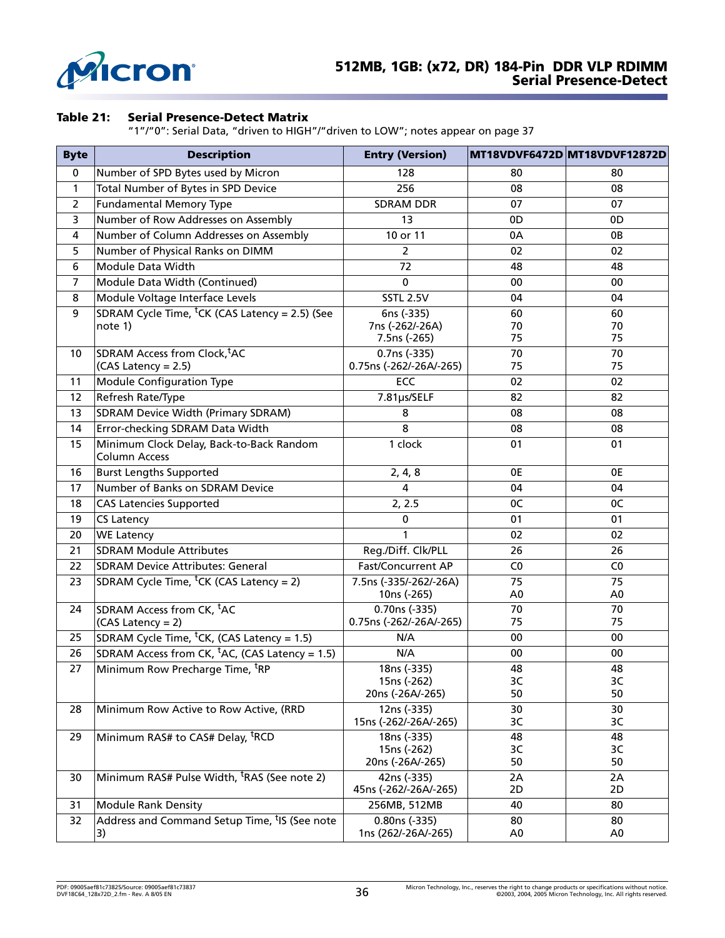

#### <span id="page-35-0"></span>**Table 21: Serial Presence-Detect Matrix**

"1"/"0": Serial Data, "driven to HIGH"/"driven to LOW"; notes appear on [page 37](#page-36-0)

| <b>Byte</b>    | <b>Description</b>                                               | <b>Entry (Version)</b>                   |                | MT18VDVF6472D MT18VDVF12872D |  |
|----------------|------------------------------------------------------------------|------------------------------------------|----------------|------------------------------|--|
| $\mathbf 0$    | Number of SPD Bytes used by Micron                               | 128                                      | 80             | 80                           |  |
| $\mathbf{1}$   | Total Number of Bytes in SPD Device                              | 256                                      | 08             | 08                           |  |
| $\overline{2}$ | <b>Fundamental Memory Type</b>                                   | <b>SDRAM DDR</b>                         | 07             | 07                           |  |
| 3              | Number of Row Addresses on Assembly                              | 13                                       | 0 <sub>D</sub> | 0D                           |  |
| 4              | Number of Column Addresses on Assembly                           | 10 or 11                                 | 0A             | 0B                           |  |
| 5              | Number of Physical Ranks on DIMM                                 | $\overline{2}$                           | 02             | 02                           |  |
| 6              | Module Data Width                                                | 72                                       | 48             | 48                           |  |
| 7              | Module Data Width (Continued)                                    | 0                                        | 00             | 00                           |  |
| 8              | Module Voltage Interface Levels                                  | <b>SSTL 2.5V</b>                         | 04             | 04                           |  |
| 9              | SDRAM Cycle Time, <sup>t</sup> CK (CAS Latency = 2.5) (See       | 6ns (-335)                               | 60             | 60                           |  |
|                | note 1)                                                          | 7ns (-262/-26A)                          | 70             | 70                           |  |
|                |                                                                  | 7.5ns (-265)                             | 75             | 75                           |  |
| 10             | SDRAM Access from Clock, tAC                                     | 0.7ns (-335)                             | 70             | 70                           |  |
|                | (CAS Latency = 2.5)                                              | 0.75ns (-262/-26A/-265)                  | 75             | 75                           |  |
| 11             | <b>Module Configuration Type</b>                                 | ECC                                      | 02             | 02                           |  |
| 12             | Refresh Rate/Type                                                | 7.81µs/SELF                              | 82             | 82                           |  |
| 13             | SDRAM Device Width (Primary SDRAM)                               | 8                                        | 08             | 08                           |  |
| 14             | Error-checking SDRAM Data Width                                  | 8                                        | 08             | 08                           |  |
| 15             | Minimum Clock Delay, Back-to-Back Random<br><b>Column Access</b> | 1 clock                                  | 01             | 01                           |  |
| 16             | <b>Burst Lengths Supported</b>                                   | 2, 4, 8                                  | 0E             | 0E                           |  |
| 17             | Number of Banks on SDRAM Device                                  | 4                                        | 04             | 04                           |  |
| 18             | <b>CAS Latencies Supported</b>                                   | 2, 2.5                                   | 0C             | 0C                           |  |
| 19             | <b>CS Latency</b>                                                | 0                                        | 01             | 01                           |  |
| 20             | <b>WE Latency</b>                                                | $\mathbf{1}$                             | 02             | 02                           |  |
| 21             | <b>SDRAM Module Attributes</b>                                   | Reg./Diff. Clk/PLL                       | 26             | 26                           |  |
| 22             | <b>SDRAM Device Attributes: General</b>                          | <b>Fast/Concurrent AP</b>                | C <sub>0</sub> | C <sub>0</sub>               |  |
| 23             | SDRAM Cycle Time, <sup>t</sup> CK (CAS Latency = 2)              | 7.5ns (-335/-262/-26A)                   | 75             | 75                           |  |
|                |                                                                  | 10ns (-265)                              | A <sub>0</sub> | A0                           |  |
| 24             | SDRAM Access from CK, <sup>t</sup> AC                            | 0.70ns (-335)<br>0.75ns (-262/-26A/-265) | 70<br>75       | 70<br>75                     |  |
|                | (CAS Latency = 2)                                                |                                          |                |                              |  |
| 25             | SDRAM Cycle Time, <sup>t</sup> CK, (CAS Latency = 1.5)           | N/A                                      | 00             | 00                           |  |
| 26             | SDRAM Access from CK, <sup>t</sup> AC, (CAS Latency = 1.5)       | N/A                                      | $00\,$         | 00                           |  |
| 27             | Minimum Row Precharge Time, <sup>t</sup> RP                      | 18ns (-335)<br>15ns (-262)               | 48<br>зс       | 48<br>3C                     |  |
|                |                                                                  | 20ns (-26A/-265)                         | 50             | 50                           |  |
| 28             | Minimum Row Active to Row Active, (RRD                           | 12ns (-335)                              | 30             | 30                           |  |
|                |                                                                  | 15ns (-262/-26A/-265)                    | 3C             | 3C                           |  |
| 29             | Minimum RAS# to CAS# Delay, <sup>t</sup> RCD                     | 18ns (-335)                              | 48             | 48                           |  |
|                |                                                                  | 15ns (-262)                              | 3C             | 3C                           |  |
|                |                                                                  | 20ns (-26A/-265)                         | 50             | 50                           |  |
| 30             | Minimum RAS# Pulse Width, <sup>t</sup> RAS (See note 2)          | 42ns (-335)<br>45ns (-262/-26A/-265)     | 2A<br>2D       | 2A<br>2D                     |  |
| 31             | <b>Module Rank Density</b>                                       | 256MB, 512MB                             | 40             | 80                           |  |
| 32             | Address and Command Setup Time, <sup>t</sup> IS (See note        | 0.80ns (-335)                            | 80             | 80                           |  |
|                | 3)                                                               | 1ns (262/-26A/-265)                      | A <sub>0</sub> | A <sub>0</sub>               |  |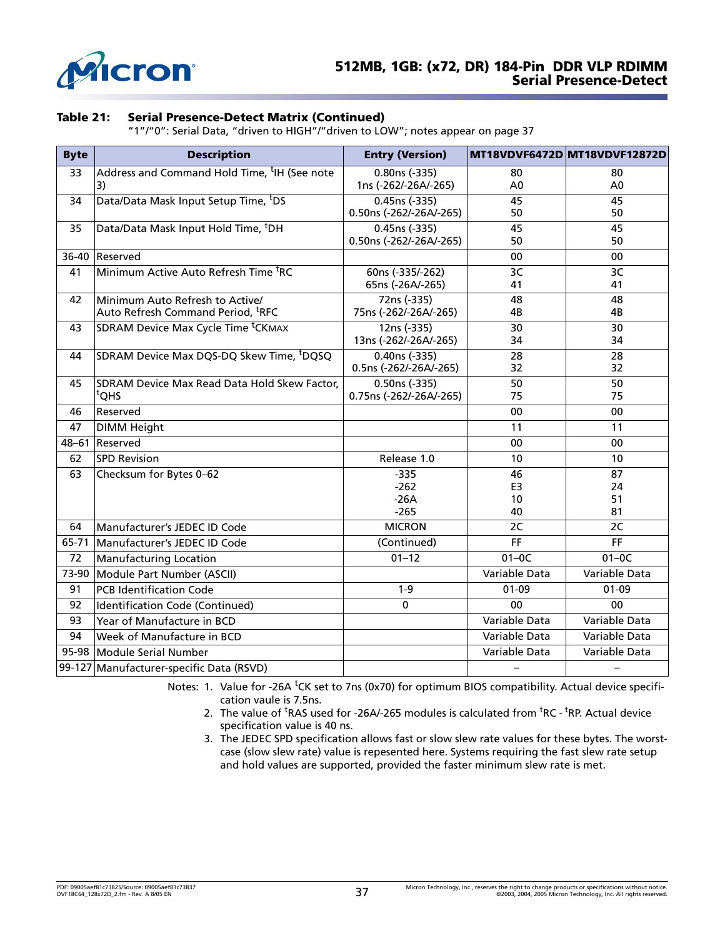

#### **Table 21: Serial Presence-Detect Matrix (Continued)**

"1"/"0": Serial Data, "driven to HIGH"/"driven to LOW"; notes appear on page 37

| <b>Byte</b> | <b>Description</b>                                       | <b>Entry (Version)</b>  |                | MT18VDVF6472D MT18VDVF12872D |
|-------------|----------------------------------------------------------|-------------------------|----------------|------------------------------|
| 33          | Address and Command Hold Time, <sup>t</sup> IH (See note | 0.80ns (-335)           | 80             | 80                           |
|             | 3)                                                       | 1ns (-262/-26A/-265)    | A <sub>0</sub> | A <sub>0</sub>               |
| 34          | Data/Data Mask Input Setup Time, <sup>t</sup> DS         | 0.45ns (-335)           | 45             | 45                           |
|             |                                                          | 0.50ns (-262/-26A/-265) | 50             | 50                           |
| 35          | Data/Data Mask Input Hold Time, <sup>t</sup> DH          | 0.45ns (-335)           | 45             | 45                           |
|             |                                                          | 0.50ns (-262/-26A/-265) | 50             | 50                           |
| 36-40       | Reserved                                                 |                         | 00             | 00                           |
| 41          | Minimum Active Auto Refresh Time <sup>t</sup> RC         | 60ns (-335/-262)        | 3C             | 3C                           |
|             |                                                          | 65ns (-26A/-265)        | 41             | 41                           |
| 42          | Minimum Auto Refresh to Active/                          | 72ns (-335)             | 48             | 48                           |
|             | Auto Refresh Command Period, <sup>t</sup> RFC            | 75ns (-262/-26A/-265)   | 4B             | 4B                           |
| 43          | SDRAM Device Max Cycle Time <sup>t</sup> CKMAX           | 12ns (-335)             | 30             | 30                           |
|             |                                                          | 13ns (-262/-26A/-265)   | 34             | 34                           |
| 44          | SDRAM Device Max DQS-DQ Skew Time, <sup>t</sup> DQSQ     | 0.40ns (-335)           | 28             | 28                           |
|             |                                                          | 0.5ns (-262/-26A/-265)  | 32             | 32                           |
| 45          | SDRAM Device Max Read Data Hold Skew Factor,             | 0.50ns (-335)           | 50             | 50                           |
|             | <sup>t</sup> QHS                                         | 0.75ns (-262/-26A/-265) | 75             | 75                           |
| 46          | Reserved                                                 |                         | 00             | 00                           |
| 47          | <b>DIMM Height</b>                                       |                         | 11             | 11                           |
| $48 - 61$   | Reserved                                                 |                         | 00             | 00                           |
| 62          | <b>SPD Revision</b>                                      | Release 1.0             | 10             | 10 <sup>°</sup>              |
| 63          | Checksum for Bytes 0-62                                  | $-335$                  | 46             | 87                           |
|             |                                                          | $-262$                  | E3             | 24                           |
|             |                                                          | $-26A$                  | 10             | 51                           |
|             |                                                          | $-265$                  | 40             | 81                           |
| 64          | Manufacturer's JEDEC ID Code                             | <b>MICRON</b>           | 2C             | 2C                           |
| 65-71       | Manufacturer's JEDEC ID Code                             | (Continued)             | <b>FF</b>      | <b>FF</b>                    |
| 72          | <b>Manufacturing Location</b>                            | $01 - 12$               | $01-0C$        | $01-0C$                      |
| 73-90       | Module Part Number (ASCII)                               |                         | Variable Data  | Variable Data                |
| 91          | <b>PCB Identification Code</b>                           | $1 - 9$                 | $01 - 09$      | $01 - 09$                    |
| 92          | Identification Code (Continued)                          | $\Omega$                | 0 <sub>0</sub> | 0 <sub>0</sub>               |
| 93          | Year of Manufacture in BCD                               |                         | Variable Data  | Variable Data                |
| 94          | Week of Manufacture in BCD                               |                         | Variable Data  | Variable Data                |
|             | 95-98 Module Serial Number                               |                         | Variable Data  | Variable Data                |
|             | 99-127 Manufacturer-specific Data (RSVD)                 |                         |                |                              |

<span id="page-36-2"></span><span id="page-36-1"></span><span id="page-36-0"></span>Notes: 1. Value for -26A <sup>t</sup>CK set to 7ns (0x70) for optimum BIOS compatibility. Actual device specification vaule is 7.5ns.

- 2. The value of  ${}^{\text{t}}$ RAS used for -26A/-265 modules is calculated from  ${}^{\text{t}}$ RC  ${}^{\text{t}}$ RP. Actual device specification value is 40 ns.
- 3. The JEDEC SPD specification allows fast or slow slew rate values for these bytes. The worstcase (slow slew rate) value is repesented here. Systems requiring the fast slew rate setup and hold values are supported, provided the faster minimum slew rate is met.